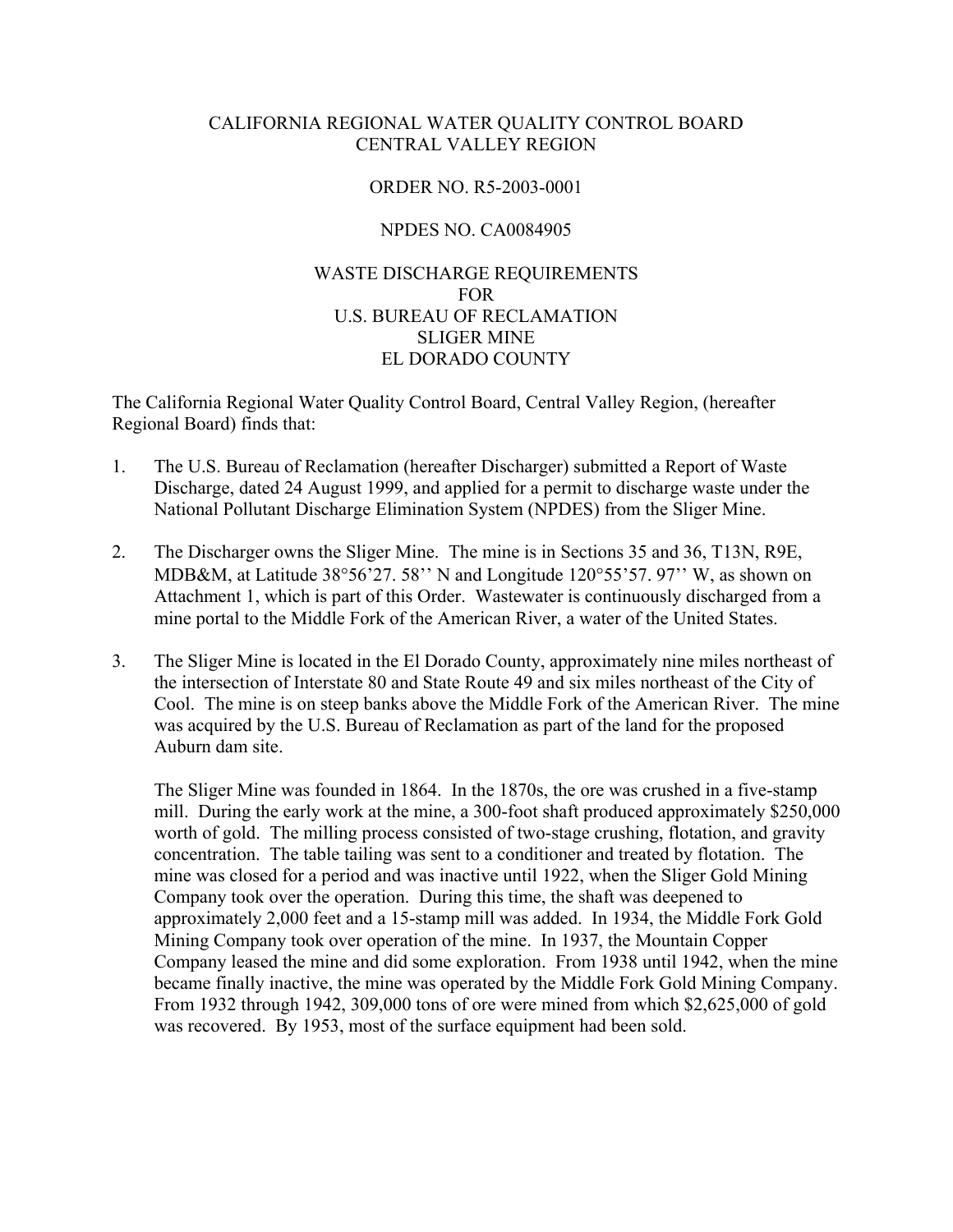# CALIFORNIA REGIONAL WATER QUALITY CONTROL BOARD CENTRAL VALLEY REGION

### ORDER NO. R5-2003-0001

### NPDES NO. CA0084905

# WASTE DISCHARGE REQUIREMENTS FOR U.S. BUREAU OF RECLAMATION SLIGER MINE EL DORADO COUNTY

The California Regional Water Quality Control Board, Central Valley Region, (hereafter Regional Board) finds that:

- 1. The U.S. Bureau of Reclamation (hereafter Discharger) submitted a Report of Waste Discharge, dated 24 August 1999, and applied for a permit to discharge waste under the National Pollutant Discharge Elimination System (NPDES) from the Sliger Mine.
- 2. The Discharger owns the Sliger Mine. The mine is in Sections 35 and 36, T13N, R9E, MDB&M, at Latitude 38°56'27. 58'' N and Longitude 120°55'57. 97'' W, as shown on Attachment 1, which is part of this Order. Wastewater is continuously discharged from a mine portal to the Middle Fork of the American River, a water of the United States.
- 3. The Sliger Mine is located in the El Dorado County, approximately nine miles northeast of the intersection of Interstate 80 and State Route 49 and six miles northeast of the City of Cool. The mine is on steep banks above the Middle Fork of the American River. The mine was acquired by the U.S. Bureau of Reclamation as part of the land for the proposed Auburn dam site.

The Sliger Mine was founded in 1864. In the 1870s, the ore was crushed in a five-stamp mill. During the early work at the mine, a 300-foot shaft produced approximately \$250,000 worth of gold. The milling process consisted of two-stage crushing, flotation, and gravity concentration. The table tailing was sent to a conditioner and treated by flotation. The mine was closed for a period and was inactive until 1922, when the Sliger Gold Mining Company took over the operation. During this time, the shaft was deepened to approximately 2,000 feet and a 15-stamp mill was added. In 1934, the Middle Fork Gold Mining Company took over operation of the mine. In 1937, the Mountain Copper Company leased the mine and did some exploration. From 1938 until 1942, when the mine became finally inactive, the mine was operated by the Middle Fork Gold Mining Company. From 1932 through 1942, 309,000 tons of ore were mined from which \$2,625,000 of gold was recovered. By 1953, most of the surface equipment had been sold.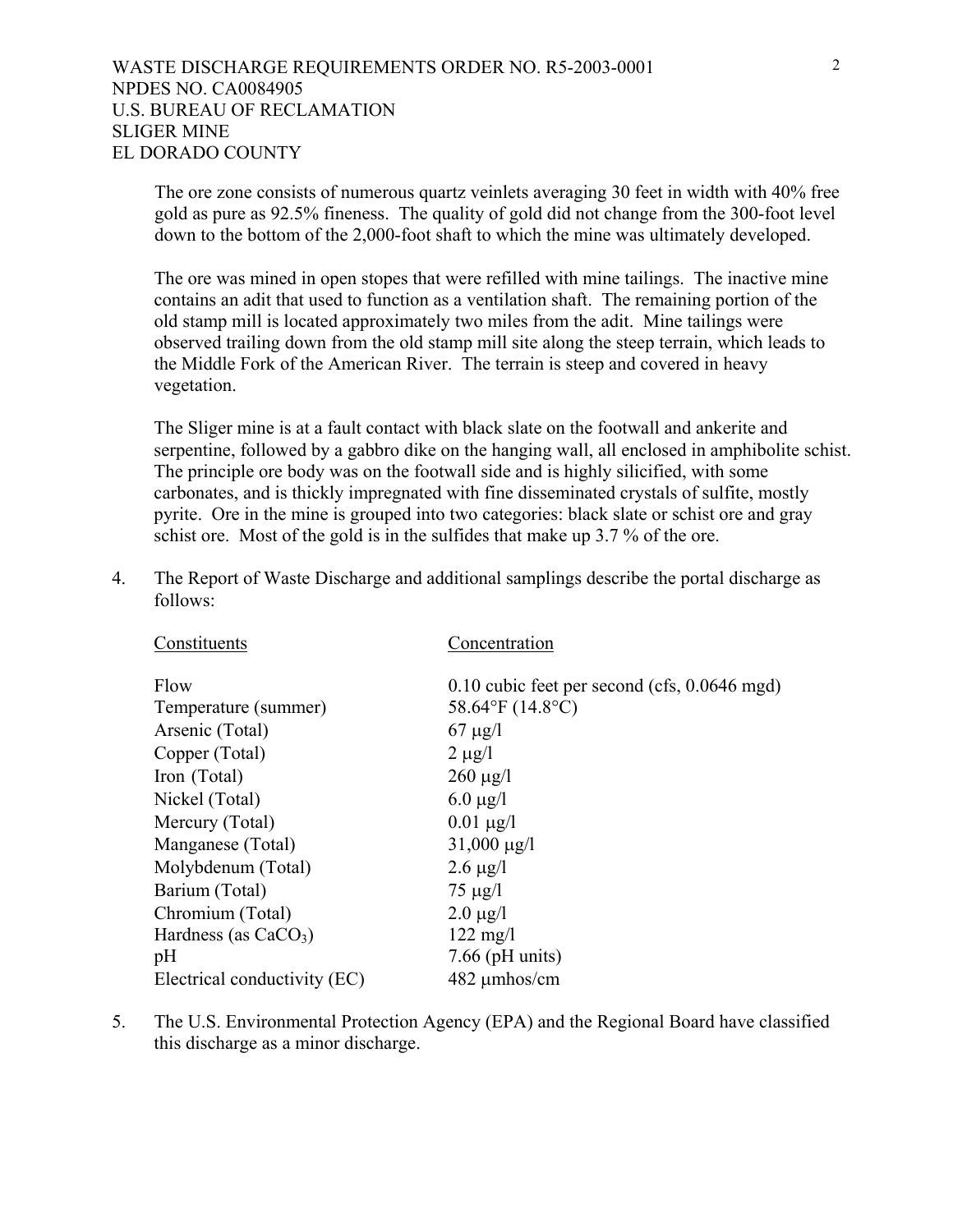The ore zone consists of numerous quartz veinlets averaging 30 feet in width with 40% free gold as pure as 92.5% fineness. The quality of gold did not change from the 300-foot level down to the bottom of the 2,000-foot shaft to which the mine was ultimately developed.

The ore was mined in open stopes that were refilled with mine tailings. The inactive mine contains an adit that used to function as a ventilation shaft. The remaining portion of the old stamp mill is located approximately two miles from the adit. Mine tailings were observed trailing down from the old stamp mill site along the steep terrain, which leads to the Middle Fork of the American River. The terrain is steep and covered in heavy vegetation.

The Sliger mine is at a fault contact with black slate on the footwall and ankerite and serpentine, followed by a gabbro dike on the hanging wall, all enclosed in amphibolite schist. The principle ore body was on the footwall side and is highly silicified, with some carbonates, and is thickly impregnated with fine disseminated crystals of sulfite, mostly pyrite. Ore in the mine is grouped into two categories: black slate or schist ore and gray schist ore. Most of the gold is in the sulfides that make up 3.7 % of the ore.

4. The Report of Waste Discharge and additional samplings describe the portal discharge as follows:

| Concentration                                           |
|---------------------------------------------------------|
| $0.10$ cubic feet per second (cfs, $0.0646$ mgd)        |
| 58.64 $\mathrm{^{\circ}F}$ (14.8 $\mathrm{^{\circ}C}$ ) |
| $67 \mu g/l$                                            |
| $2 \mu g/l$                                             |
| $260 \mu g/l$                                           |
| 6.0 $\mu$ g/l                                           |
| $0.01 \mu g/l$                                          |
| $31,000 \,\mu g/l$                                      |
| $2.6 \mu g/l$                                           |
| $75 \mu g/l$                                            |
| $2.0 \mu g/l$                                           |
| $122 \text{ mg}/1$                                      |
| $7.66$ (pH units)                                       |
| $482 \mu m$ hos/cm                                      |
|                                                         |

5. The U.S. Environmental Protection Agency (EPA) and the Regional Board have classified this discharge as a minor discharge.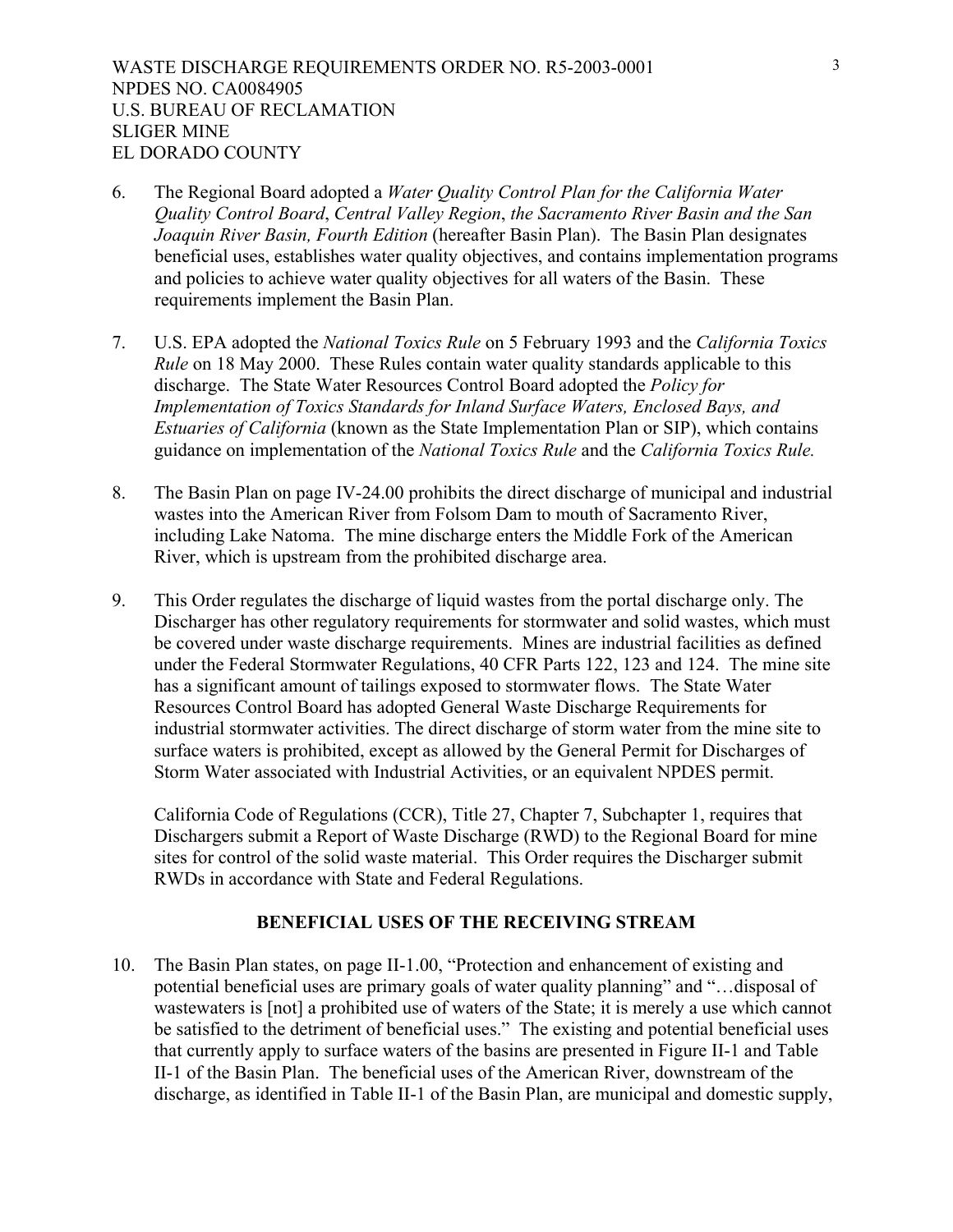- 6. The Regional Board adopted a *Water Quality Control Plan for the California Water Quality Control Board*, *Central Valley Region*, *the Sacramento River Basin and the San Joaquin River Basin, Fourth Edition* (hereafter Basin Plan). The Basin Plan designates beneficial uses, establishes water quality objectives, and contains implementation programs and policies to achieve water quality objectives for all waters of the Basin. These requirements implement the Basin Plan.
- 7. U.S. EPA adopted the *National Toxics Rule* on 5 February 1993 and the *California Toxics Rule* on 18 May 2000. These Rules contain water quality standards applicable to this discharge. The State Water Resources Control Board adopted the *Policy for Implementation of Toxics Standards for Inland Surface Waters, Enclosed Bays, and Estuaries of California* (known as the State Implementation Plan or SIP), which contains guidance on implementation of the *National Toxics Rule* and the *California Toxics Rule.*
- 8. The Basin Plan on page IV-24.00 prohibits the direct discharge of municipal and industrial wastes into the American River from Folsom Dam to mouth of Sacramento River, including Lake Natoma. The mine discharge enters the Middle Fork of the American River, which is upstream from the prohibited discharge area.
- 9. This Order regulates the discharge of liquid wastes from the portal discharge only. The Discharger has other regulatory requirements for stormwater and solid wastes, which must be covered under waste discharge requirements. Mines are industrial facilities as defined under the Federal Stormwater Regulations, 40 CFR Parts 122, 123 and 124. The mine site has a significant amount of tailings exposed to stormwater flows. The State Water Resources Control Board has adopted General Waste Discharge Requirements for industrial stormwater activities. The direct discharge of storm water from the mine site to surface waters is prohibited, except as allowed by the General Permit for Discharges of Storm Water associated with Industrial Activities, or an equivalent NPDES permit.

 California Code of Regulations (CCR), Title 27, Chapter 7, Subchapter 1, requires that Dischargers submit a Report of Waste Discharge (RWD) to the Regional Board for mine sites for control of the solid waste material. This Order requires the Discharger submit RWDs in accordance with State and Federal Regulations.

#### **BENEFICIAL USES OF THE RECEIVING STREAM**

10. The Basin Plan states, on page II-1.00, "Protection and enhancement of existing and potential beneficial uses are primary goals of water quality planning" and "…disposal of wastewaters is [not] a prohibited use of waters of the State; it is merely a use which cannot be satisfied to the detriment of beneficial uses." The existing and potential beneficial uses that currently apply to surface waters of the basins are presented in Figure II-1 and Table II-1 of the Basin Plan. The beneficial uses of the American River, downstream of the discharge, as identified in Table II-1 of the Basin Plan, are municipal and domestic supply,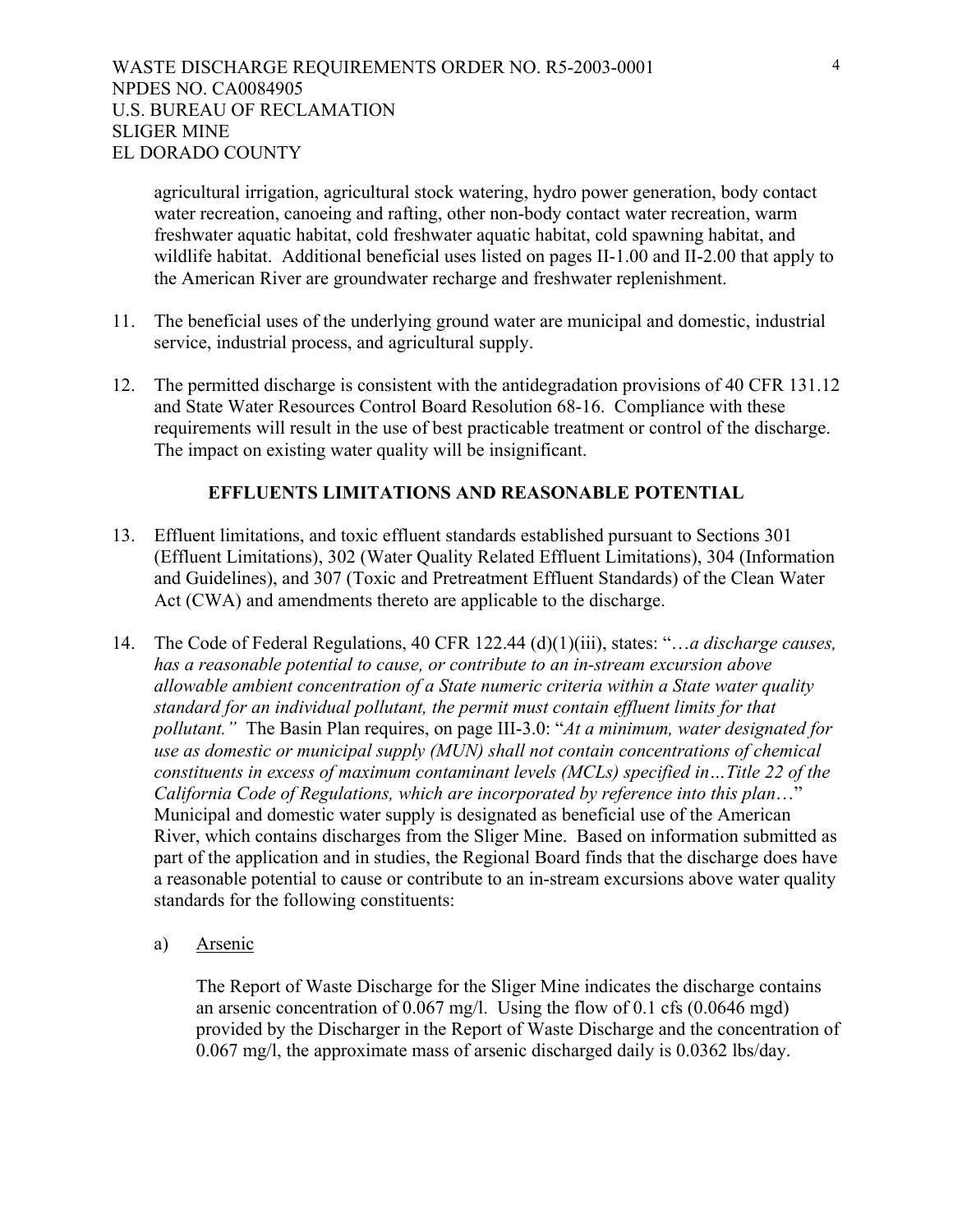agricultural irrigation, agricultural stock watering, hydro power generation, body contact water recreation, canoeing and rafting, other non-body contact water recreation, warm freshwater aquatic habitat, cold freshwater aquatic habitat, cold spawning habitat, and wildlife habitat. Additional beneficial uses listed on pages II-1.00 and II-2.00 that apply to the American River are groundwater recharge and freshwater replenishment.

- 11. The beneficial uses of the underlying ground water are municipal and domestic, industrial service, industrial process, and agricultural supply.
- 12. The permitted discharge is consistent with the antidegradation provisions of 40 CFR 131.12 and State Water Resources Control Board Resolution 68-16. Compliance with these requirements will result in the use of best practicable treatment or control of the discharge. The impact on existing water quality will be insignificant.

### **EFFLUENTS LIMITATIONS AND REASONABLE POTENTIAL**

- 13. Effluent limitations, and toxic effluent standards established pursuant to Sections 301 (Effluent Limitations), 302 (Water Quality Related Effluent Limitations), 304 (Information and Guidelines), and 307 (Toxic and Pretreatment Effluent Standards) of the Clean Water Act (CWA) and amendments thereto are applicable to the discharge.
- 14. The Code of Federal Regulations, 40 CFR 122.44 (d)(1)(iii), states: "…*a discharge causes, has a reasonable potential to cause, or contribute to an in-stream excursion above allowable ambient concentration of a State numeric criteria within a State water quality standard for an individual pollutant, the permit must contain effluent limits for that pollutant."* The Basin Plan requires, on page III-3.0: "*At a minimum, water designated for use as domestic or municipal supply (MUN) shall not contain concentrations of chemical constituents in excess of maximum contaminant levels (MCLs) specified in…Title 22 of the California Code of Regulations, which are incorporated by reference into this plan*…" Municipal and domestic water supply is designated as beneficial use of the American River, which contains discharges from the Sliger Mine. Based on information submitted as part of the application and in studies, the Regional Board finds that the discharge does have a reasonable potential to cause or contribute to an in-stream excursions above water quality standards for the following constituents:
	- a) Arsenic

The Report of Waste Discharge for the Sliger Mine indicates the discharge contains an arsenic concentration of 0.067 mg/l. Using the flow of 0.1 cfs (0.0646 mgd) provided by the Discharger in the Report of Waste Discharge and the concentration of 0.067 mg/l, the approximate mass of arsenic discharged daily is 0.0362 lbs/day.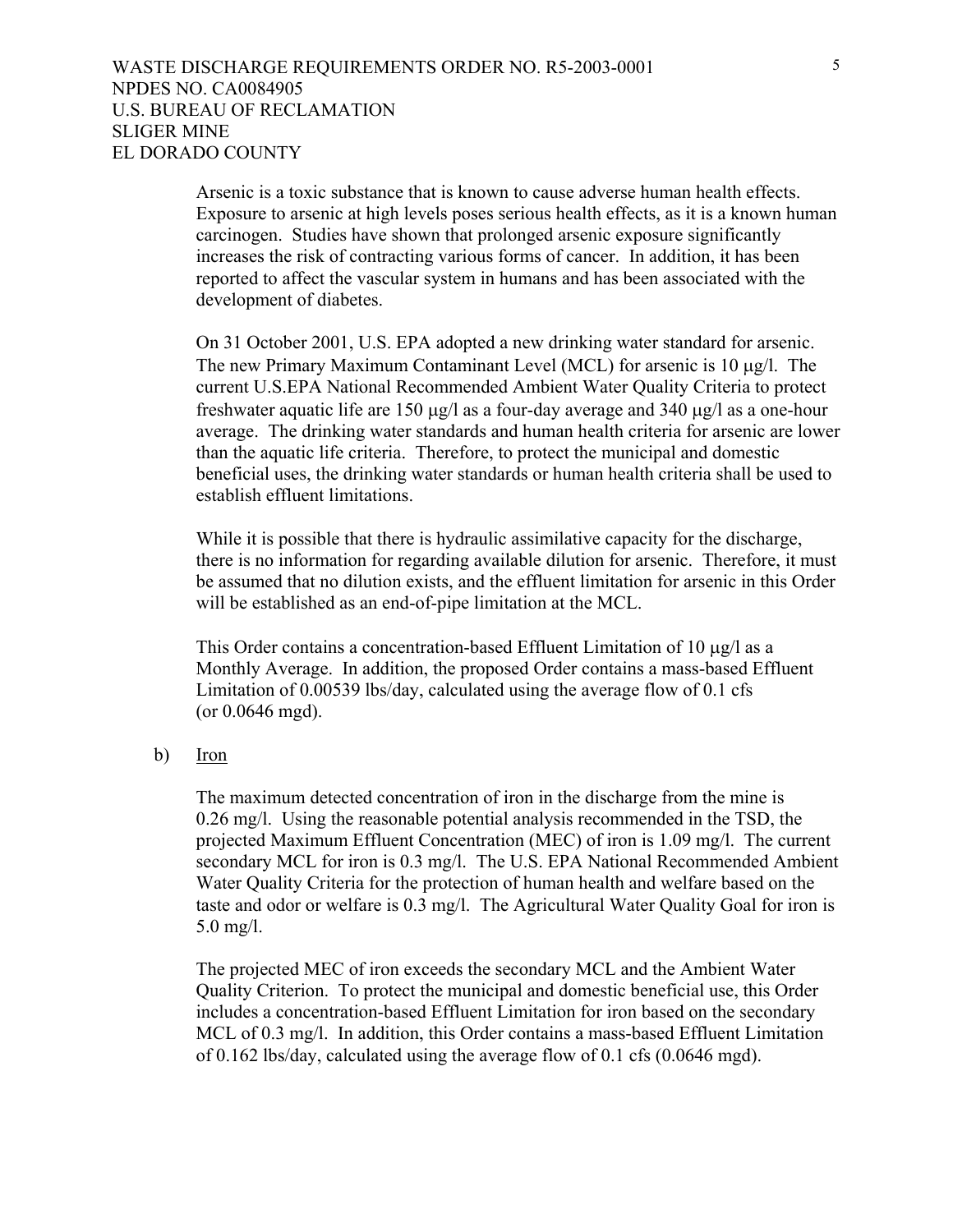Arsenic is a toxic substance that is known to cause adverse human health effects. Exposure to arsenic at high levels poses serious health effects, as it is a known human carcinogen. Studies have shown that prolonged arsenic exposure significantly increases the risk of contracting various forms of cancer. In addition, it has been reported to affect the vascular system in humans and has been associated with the development of diabetes.

On 31 October 2001, U.S. EPA adopted a new drinking water standard for arsenic. The new Primary Maximum Contaminant Level (MCL) for arsenic is 10 µg/l. The current U.S.EPA National Recommended Ambient Water Quality Criteria to protect freshwater aquatic life are 150 µg/l as a four-day average and 340 µg/l as a one-hour average. The drinking water standards and human health criteria for arsenic are lower than the aquatic life criteria. Therefore, to protect the municipal and domestic beneficial uses, the drinking water standards or human health criteria shall be used to establish effluent limitations.

While it is possible that there is hydraulic assimilative capacity for the discharge, there is no information for regarding available dilution for arsenic. Therefore, it must be assumed that no dilution exists, and the effluent limitation for arsenic in this Order will be established as an end-of-pipe limitation at the MCL.

This Order contains a concentration-based Effluent Limitation of 10 µg/l as a Monthly Average. In addition, the proposed Order contains a mass-based Effluent Limitation of 0.00539 lbs/day, calculated using the average flow of 0.1 cfs (or 0.0646 mgd).

b) Iron

The maximum detected concentration of iron in the discharge from the mine is 0.26 mg/l. Using the reasonable potential analysis recommended in the TSD, the projected Maximum Effluent Concentration (MEC) of iron is 1.09 mg/l. The current secondary MCL for iron is 0.3 mg/l. The U.S. EPA National Recommended Ambient Water Quality Criteria for the protection of human health and welfare based on the taste and odor or welfare is 0.3 mg/l. The Agricultural Water Quality Goal for iron is 5.0 mg/l.

The projected MEC of iron exceeds the secondary MCL and the Ambient Water Quality Criterion. To protect the municipal and domestic beneficial use, this Order includes a concentration-based Effluent Limitation for iron based on the secondary MCL of 0.3 mg/l. In addition, this Order contains a mass-based Effluent Limitation of 0.162 lbs/day, calculated using the average flow of 0.1 cfs (0.0646 mgd).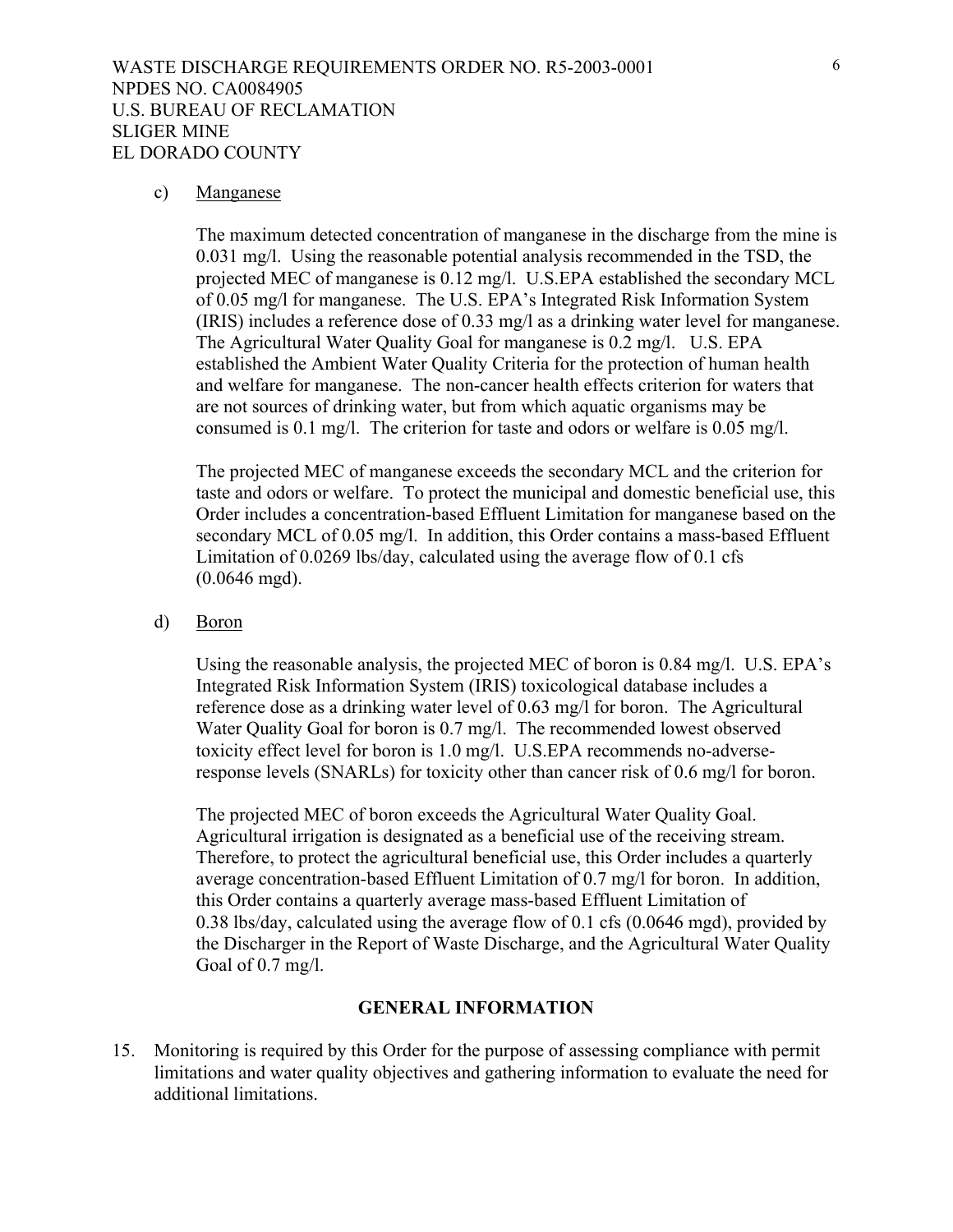#### c) Manganese

The maximum detected concentration of manganese in the discharge from the mine is 0.031 mg/l. Using the reasonable potential analysis recommended in the TSD, the projected MEC of manganese is 0.12 mg/l. U.S.EPA established the secondary MCL of 0.05 mg/l for manganese. The U.S. EPA's Integrated Risk Information System (IRIS) includes a reference dose of 0.33 mg/l as a drinking water level for manganese. The Agricultural Water Quality Goal for manganese is 0.2 mg/l. U.S. EPA established the Ambient Water Quality Criteria for the protection of human health and welfare for manganese. The non-cancer health effects criterion for waters that are not sources of drinking water, but from which aquatic organisms may be consumed is 0.1 mg/l. The criterion for taste and odors or welfare is 0.05 mg/l.

The projected MEC of manganese exceeds the secondary MCL and the criterion for taste and odors or welfare. To protect the municipal and domestic beneficial use, this Order includes a concentration-based Effluent Limitation for manganese based on the secondary MCL of 0.05 mg/l. In addition, this Order contains a mass-based Effluent Limitation of 0.0269 lbs/day, calculated using the average flow of 0.1 cfs (0.0646 mgd).

d) Boron

Using the reasonable analysis, the projected MEC of boron is 0.84 mg/l. U.S. EPA's Integrated Risk Information System (IRIS) toxicological database includes a reference dose as a drinking water level of 0.63 mg/l for boron. The Agricultural Water Quality Goal for boron is 0.7 mg/l. The recommended lowest observed toxicity effect level for boron is 1.0 mg/l. U.S.EPA recommends no-adverseresponse levels (SNARLs) for toxicity other than cancer risk of 0.6 mg/l for boron.

 The projected MEC of boron exceeds the Agricultural Water Quality Goal. Agricultural irrigation is designated as a beneficial use of the receiving stream. Therefore, to protect the agricultural beneficial use, this Order includes a quarterly average concentration-based Effluent Limitation of 0.7 mg/l for boron. In addition, this Order contains a quarterly average mass-based Effluent Limitation of 0.38 lbs/day, calculated using the average flow of 0.1 cfs (0.0646 mgd), provided by the Discharger in the Report of Waste Discharge, and the Agricultural Water Quality Goal of 0.7 mg/l.

#### **GENERAL INFORMATION**

15. Monitoring is required by this Order for the purpose of assessing compliance with permit limitations and water quality objectives and gathering information to evaluate the need for additional limitations.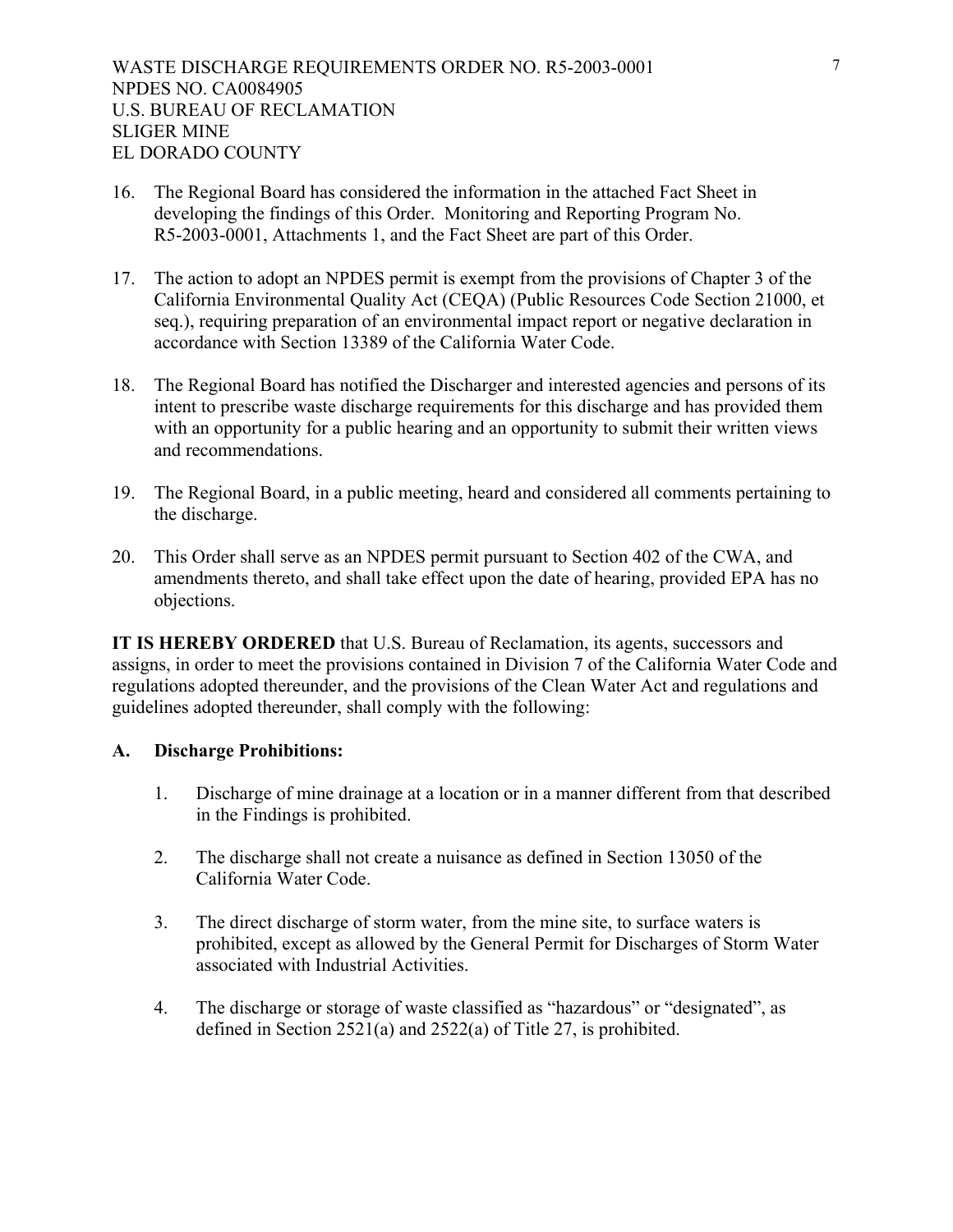- 16. The Regional Board has considered the information in the attached Fact Sheet in developing the findings of this Order. Monitoring and Reporting Program No. R5-2003-0001, Attachments 1, and the Fact Sheet are part of this Order.
- 17. The action to adopt an NPDES permit is exempt from the provisions of Chapter 3 of the California Environmental Quality Act (CEQA) (Public Resources Code Section 21000, et seq.), requiring preparation of an environmental impact report or negative declaration in accordance with Section 13389 of the California Water Code.
- 18. The Regional Board has notified the Discharger and interested agencies and persons of its intent to prescribe waste discharge requirements for this discharge and has provided them with an opportunity for a public hearing and an opportunity to submit their written views and recommendations.
- 19. The Regional Board, in a public meeting, heard and considered all comments pertaining to the discharge.
- 20. This Order shall serve as an NPDES permit pursuant to Section 402 of the CWA, and amendments thereto, and shall take effect upon the date of hearing, provided EPA has no objections.

**IT IS HEREBY ORDERED** that U.S. Bureau of Reclamation, its agents, successors and assigns, in order to meet the provisions contained in Division 7 of the California Water Code and regulations adopted thereunder, and the provisions of the Clean Water Act and regulations and guidelines adopted thereunder, shall comply with the following:

### **A. Discharge Prohibitions:**

- 1. Discharge of mine drainage at a location or in a manner different from that described in the Findings is prohibited.
- 2. The discharge shall not create a nuisance as defined in Section 13050 of the California Water Code.
- 3. The direct discharge of storm water, from the mine site, to surface waters is prohibited, except as allowed by the General Permit for Discharges of Storm Water associated with Industrial Activities.
- 4. The discharge or storage of waste classified as "hazardous" or "designated", as defined in Section 2521(a) and 2522(a) of Title 27, is prohibited.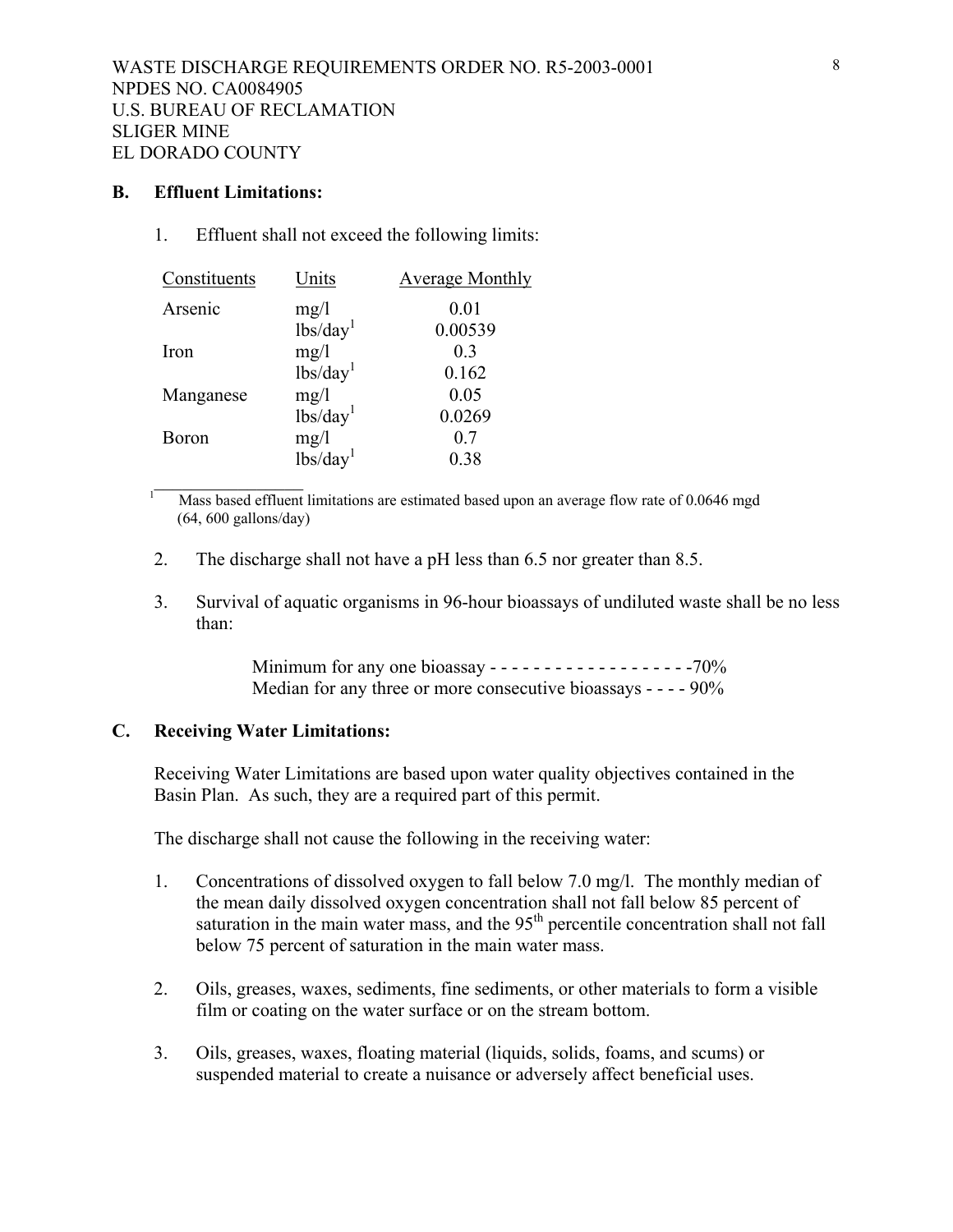#### **B. Effluent Limitations:**

1. Effluent shall not exceed the following limits:

| Constituents | Units                                | <b>Average Monthly</b> |
|--------------|--------------------------------------|------------------------|
| Arsenic      | mg/1                                 | 0.01                   |
|              | $\overline{\text{lbs}}/\text{day}^1$ | 0.00539                |
| Iron         | mg/1                                 | 0 <sub>3</sub>         |
|              | lbs/day <sup>1</sup>                 | 0.162                  |
| Manganese    | mg/1                                 | 0.05                   |
|              | lbs/day <sup>1</sup>                 | 0.0269                 |
| <b>Boron</b> |                                      | 0.7                    |
|              | $mg/l$<br>lbs/day <sup>1</sup>       | 0.38                   |
|              |                                      |                        |

Mass based effluent limitations are estimated based upon an average flow rate of 0.0646 mgd (64, 600 gallons/day)

- 2. The discharge shall not have a pH less than 6.5 nor greater than 8.5.
- 3. Survival of aquatic organisms in 96-hour bioassays of undiluted waste shall be no less than:

Minimum for any one bioassay - - - - - - - - - - - - - - - - - - -70% Median for any three or more consecutive bioassays - - - - 90%

# **C. Receiving Water Limitations:**

Receiving Water Limitations are based upon water quality objectives contained in the Basin Plan. As such, they are a required part of this permit.

The discharge shall not cause the following in the receiving water:

- 1. Concentrations of dissolved oxygen to fall below 7.0 mg/l. The monthly median of the mean daily dissolved oxygen concentration shall not fall below 85 percent of saturation in the main water mass, and the  $95<sup>th</sup>$  percentile concentration shall not fall below 75 percent of saturation in the main water mass.
- 2. Oils, greases, waxes, sediments, fine sediments, or other materials to form a visible film or coating on the water surface or on the stream bottom.
- 3. Oils, greases, waxes, floating material (liquids, solids, foams, and scums) or suspended material to create a nuisance or adversely affect beneficial uses.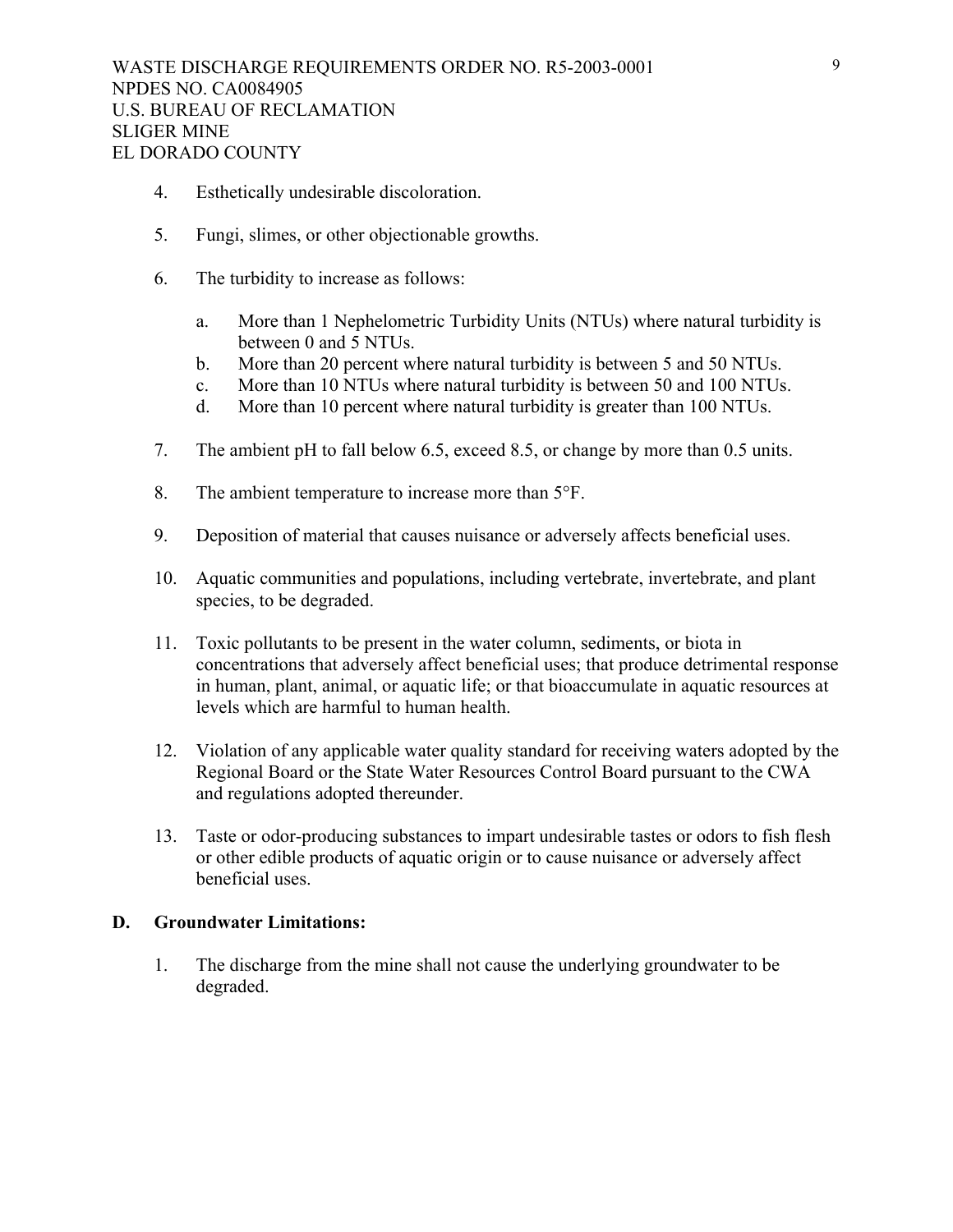- 4. Esthetically undesirable discoloration.
- 5. Fungi, slimes, or other objectionable growths.
- 6. The turbidity to increase as follows:
	- a. More than 1 Nephelometric Turbidity Units (NTUs) where natural turbidity is between 0 and 5 NTUs.
	- b. More than 20 percent where natural turbidity is between 5 and 50 NTUs.
	- c. More than 10 NTUs where natural turbidity is between 50 and 100 NTUs.
	- d. More than 10 percent where natural turbidity is greater than 100 NTUs.
- 7. The ambient pH to fall below 6.5, exceed 8.5, or change by more than 0.5 units.
- 8. The ambient temperature to increase more than 5°F.
- 9. Deposition of material that causes nuisance or adversely affects beneficial uses.
- 10. Aquatic communities and populations, including vertebrate, invertebrate, and plant species, to be degraded.
- 11. Toxic pollutants to be present in the water column, sediments, or biota in concentrations that adversely affect beneficial uses; that produce detrimental response in human, plant, animal, or aquatic life; or that bioaccumulate in aquatic resources at levels which are harmful to human health.
- 12. Violation of any applicable water quality standard for receiving waters adopted by the Regional Board or the State Water Resources Control Board pursuant to the CWA and regulations adopted thereunder.
- 13. Taste or odor-producing substances to impart undesirable tastes or odors to fish flesh or other edible products of aquatic origin or to cause nuisance or adversely affect beneficial uses.

#### **D. Groundwater Limitations:**

1. The discharge from the mine shall not cause the underlying groundwater to be degraded.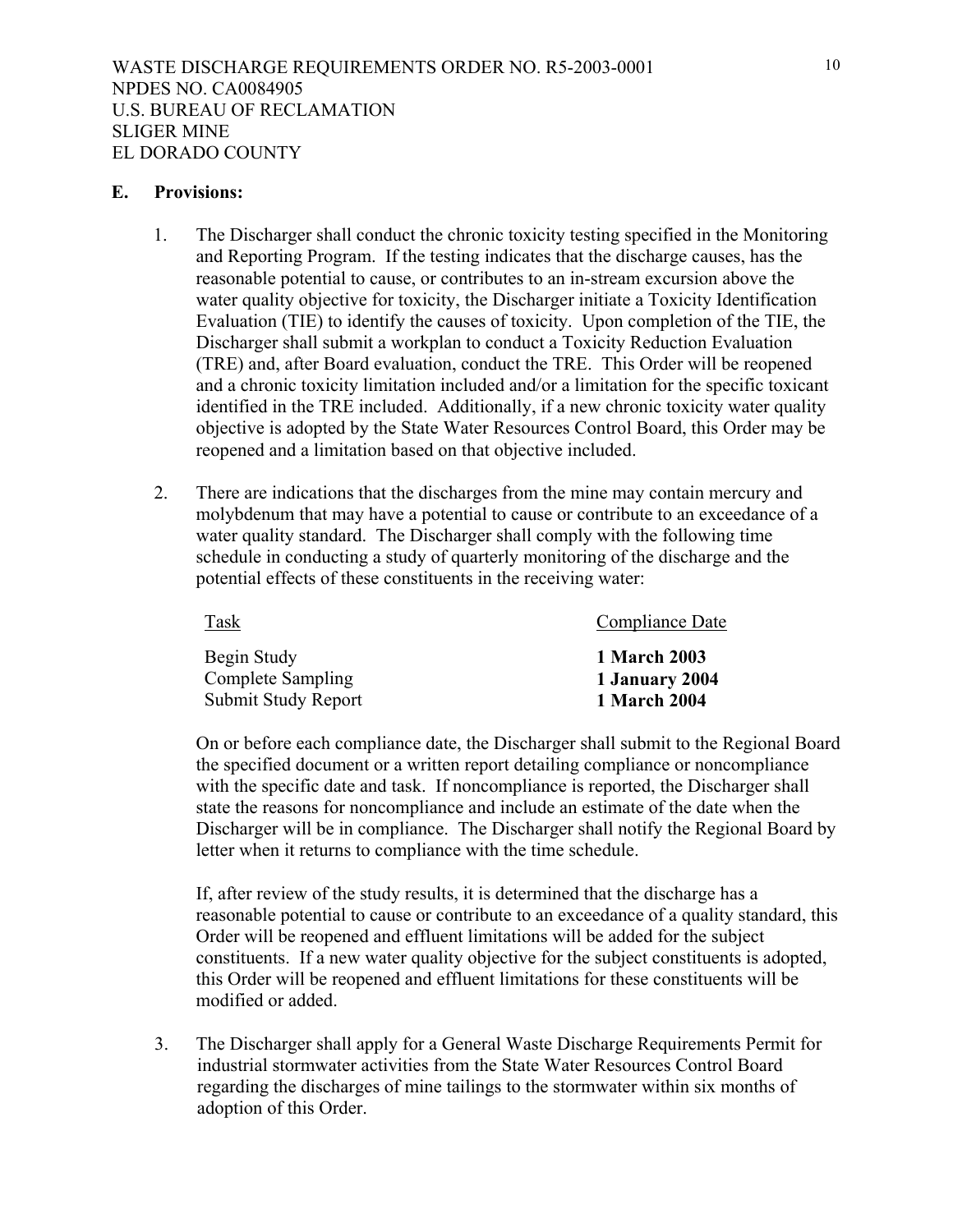#### **E. Provisions:**

- 1. The Discharger shall conduct the chronic toxicity testing specified in the Monitoring and Reporting Program. If the testing indicates that the discharge causes, has the reasonable potential to cause, or contributes to an in-stream excursion above the water quality objective for toxicity, the Discharger initiate a Toxicity Identification Evaluation (TIE) to identify the causes of toxicity. Upon completion of the TIE, the Discharger shall submit a workplan to conduct a Toxicity Reduction Evaluation (TRE) and, after Board evaluation, conduct the TRE. This Order will be reopened and a chronic toxicity limitation included and/or a limitation for the specific toxicant identified in the TRE included. Additionally, if a new chronic toxicity water quality objective is adopted by the State Water Resources Control Board, this Order may be reopened and a limitation based on that objective included.
- 2. There are indications that the discharges from the mine may contain mercury and molybdenum that may have a potential to cause or contribute to an exceedance of a water quality standard. The Discharger shall comply with the following time schedule in conducting a study of quarterly monitoring of the discharge and the potential effects of these constituents in the receiving water:

| Task                | Compliance Date     |
|---------------------|---------------------|
| Begin Study         | <b>1 March 2003</b> |
| Complete Sampling   | 1 January 2004      |
| Submit Study Report | 1 March 2004        |

 On or before each compliance date, the Discharger shall submit to the Regional Board the specified document or a written report detailing compliance or noncompliance with the specific date and task. If noncompliance is reported, the Discharger shall state the reasons for noncompliance and include an estimate of the date when the Discharger will be in compliance. The Discharger shall notify the Regional Board by letter when it returns to compliance with the time schedule.

 If, after review of the study results, it is determined that the discharge has a reasonable potential to cause or contribute to an exceedance of a quality standard, this Order will be reopened and effluent limitations will be added for the subject constituents. If a new water quality objective for the subject constituents is adopted, this Order will be reopened and effluent limitations for these constituents will be modified or added.

3. The Discharger shall apply for a General Waste Discharge Requirements Permit for industrial stormwater activities from the State Water Resources Control Board regarding the discharges of mine tailings to the stormwater within six months of adoption of this Order.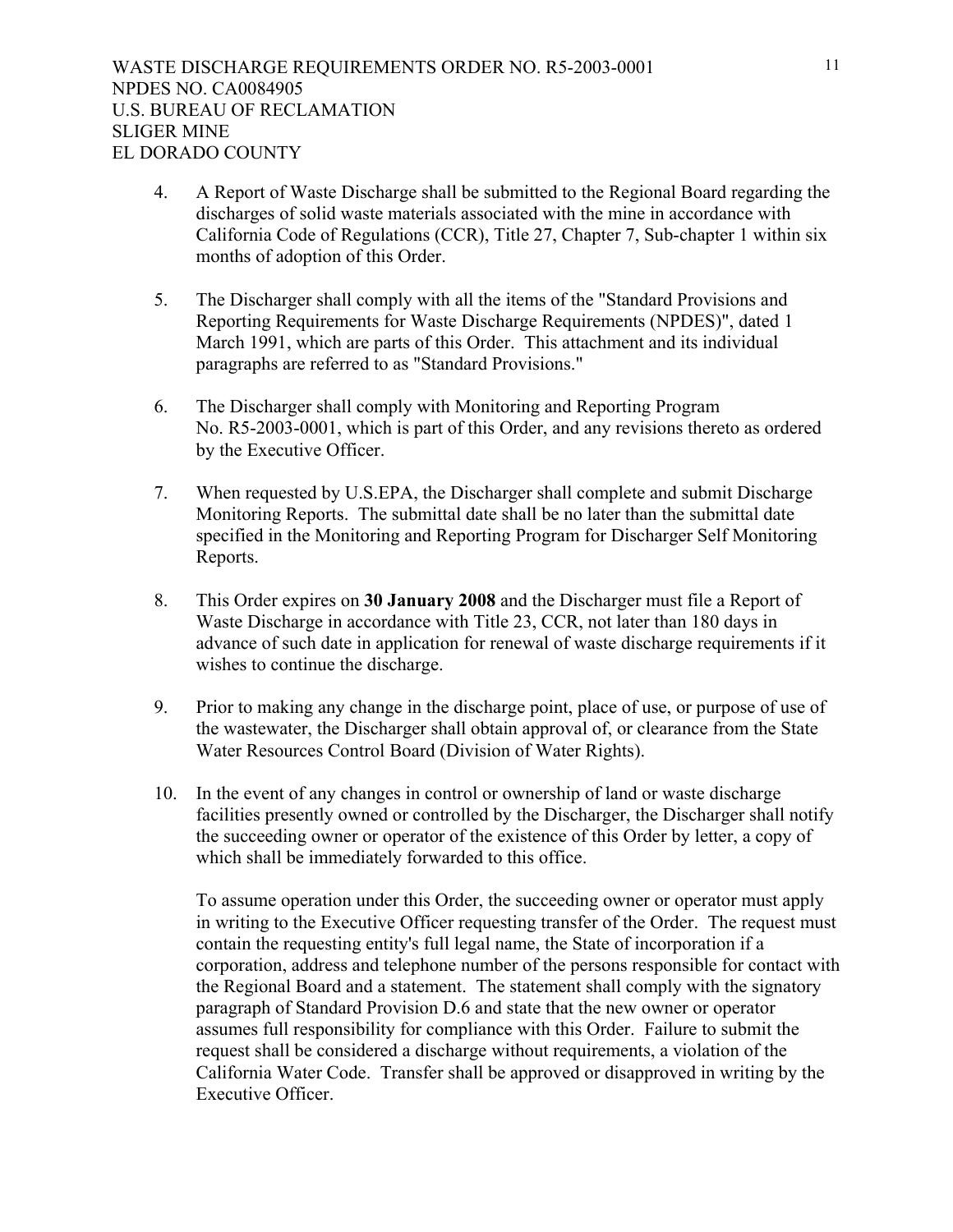- 4. A Report of Waste Discharge shall be submitted to the Regional Board regarding the discharges of solid waste materials associated with the mine in accordance with California Code of Regulations (CCR), Title 27, Chapter 7, Sub-chapter 1 within six months of adoption of this Order.
- 5. The Discharger shall comply with all the items of the "Standard Provisions and Reporting Requirements for Waste Discharge Requirements (NPDES)", dated 1 March 1991, which are parts of this Order. This attachment and its individual paragraphs are referred to as "Standard Provisions."
- 6. The Discharger shall comply with Monitoring and Reporting Program No. R5-2003-0001, which is part of this Order, and any revisions thereto as ordered by the Executive Officer.
- 7. When requested by U.S.EPA, the Discharger shall complete and submit Discharge Monitoring Reports. The submittal date shall be no later than the submittal date specified in the Monitoring and Reporting Program for Discharger Self Monitoring Reports.
- 8. This Order expires on **30 January 2008** and the Discharger must file a Report of Waste Discharge in accordance with Title 23, CCR, not later than 180 days in advance of such date in application for renewal of waste discharge requirements if it wishes to continue the discharge.
- 9. Prior to making any change in the discharge point, place of use, or purpose of use of the wastewater, the Discharger shall obtain approval of, or clearance from the State Water Resources Control Board (Division of Water Rights).
- 10. In the event of any changes in control or ownership of land or waste discharge facilities presently owned or controlled by the Discharger, the Discharger shall notify the succeeding owner or operator of the existence of this Order by letter, a copy of which shall be immediately forwarded to this office.

To assume operation under this Order, the succeeding owner or operator must apply in writing to the Executive Officer requesting transfer of the Order. The request must contain the requesting entity's full legal name, the State of incorporation if a corporation, address and telephone number of the persons responsible for contact with the Regional Board and a statement. The statement shall comply with the signatory paragraph of Standard Provision D.6 and state that the new owner or operator assumes full responsibility for compliance with this Order. Failure to submit the request shall be considered a discharge without requirements, a violation of the California Water Code. Transfer shall be approved or disapproved in writing by the Executive Officer.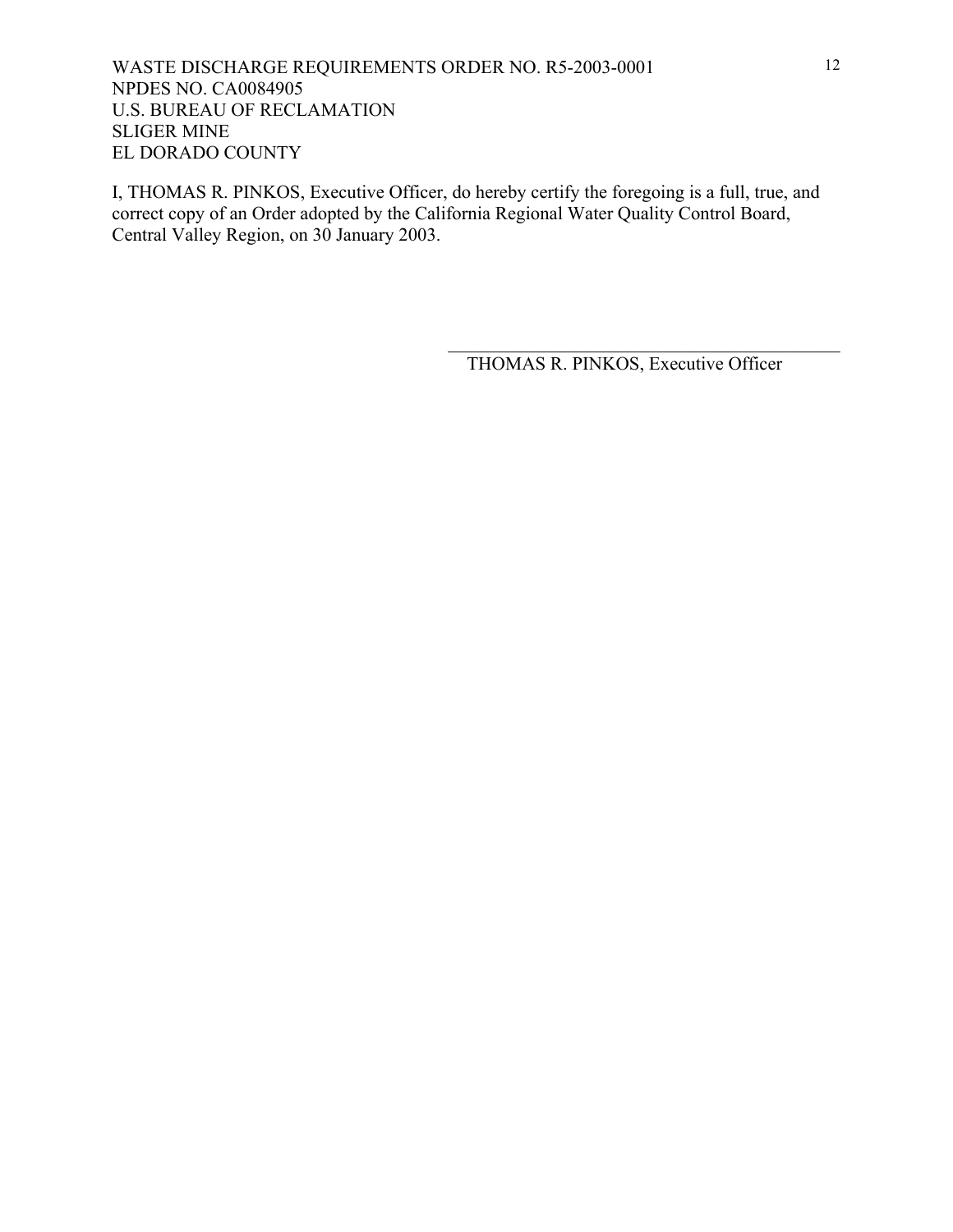I, THOMAS R. PINKOS, Executive Officer, do hereby certify the foregoing is a full, true, and correct copy of an Order adopted by the California Regional Water Quality Control Board, Central Valley Region, on 30 January 2003.

THOMAS R. PINKOS, Executive Officer

 $\mathcal{L}_\text{max}$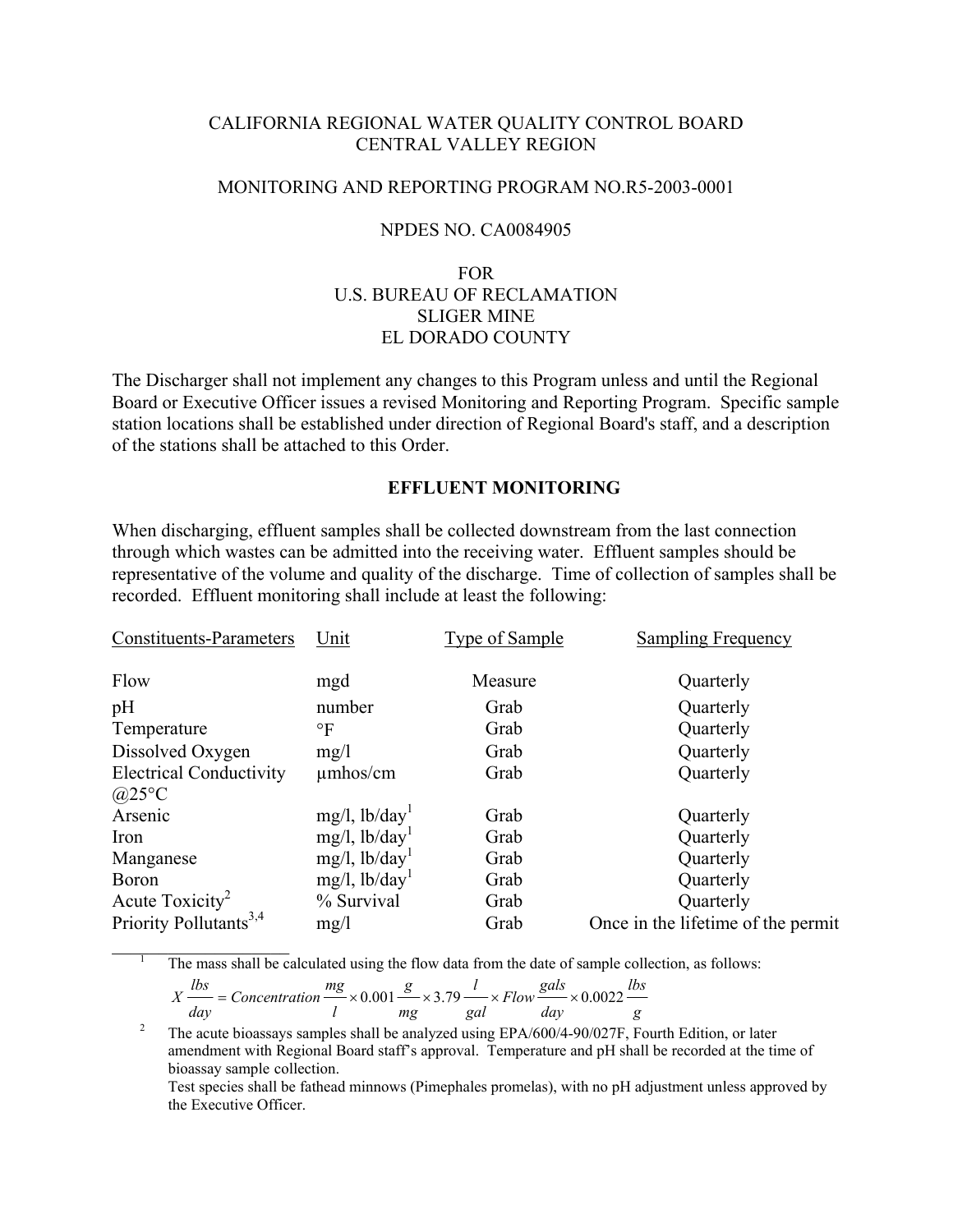### CALIFORNIA REGIONAL WATER QUALITY CONTROL BOARD CENTRAL VALLEY REGION

#### MONITORING AND REPORTING PROGRAM NO.R5-2003-0001

#### NPDES NO. CA0084905

# FOR U.S. BUREAU OF RECLAMATION SLIGER MINE EL DORADO COUNTY

The Discharger shall not implement any changes to this Program unless and until the Regional Board or Executive Officer issues a revised Monitoring and Reporting Program. Specific sample station locations shall be established under direction of Regional Board's staff, and a description of the stations shall be attached to this Order.

### **EFFLUENT MONITORING**

When discharging, effluent samples shall be collected downstream from the last connection through which wastes can be admitted into the receiving water. Effluent samples should be representative of the volume and quality of the discharge. Time of collection of samples shall be recorded. Effluent monitoring shall include at least the following:

| <b>Constituents-Parameters</b>     | Unit                         | <b>Type of Sample</b> | Sampling Frequency                 |
|------------------------------------|------------------------------|-----------------------|------------------------------------|
| Flow                               | mgd                          | Measure               | Quarterly                          |
| pH                                 | number                       | Grab                  | Quarterly                          |
| Temperature                        | $\circ$ F                    | Grab                  | Quarterly                          |
| Dissolved Oxygen                   | mg/1                         | Grab                  | Quarterly                          |
| <b>Electrical Conductivity</b>     | $\mu$ mhos/cm                | Grab                  | Quarterly                          |
| @25°C                              |                              |                       |                                    |
| Arsenic                            | $mg/l$ , lb/day <sup>1</sup> | Grab                  | Quarterly                          |
| Iron                               | $mg/l$ , lb/day <sup>1</sup> | Grab                  | Quarterly                          |
| Manganese                          | $mg/l$ , lb/day <sup>1</sup> | Grab                  | Quarterly                          |
| <b>Boron</b>                       | $mg/l$ , lb/day <sup>1</sup> | Grab                  | Quarterly                          |
| Acute Toxicity <sup>2</sup>        | % Survival                   | Grab                  | Quarterly                          |
| Priority Pollutants <sup>3,4</sup> | mg/l                         | Grab                  | Once in the lifetime of the permit |

The mass shall be calculated using the flow data from the date of sample collection, as follows:

$$
X\frac{lbs}{day} = \text{Concentration}\frac{mg}{l} \times 0.001 \frac{g}{mg} \times 3.79 \frac{l}{gal} \times Flow \frac{gals}{day} \times 0.0022 \frac{lbs}{g}
$$

<sup>&</sup>lt;sup>2</sup> The acute bioassays samples shall be analyzed using EPA/600/4-90/027F, Fourth Edition, or later amendment with Regional Board staff's approval. Temperature and pH shall be recorded at the time of bioassay sample collection.

Test species shall be fathead minnows (Pimephales promelas), with no pH adjustment unless approved by the Executive Officer.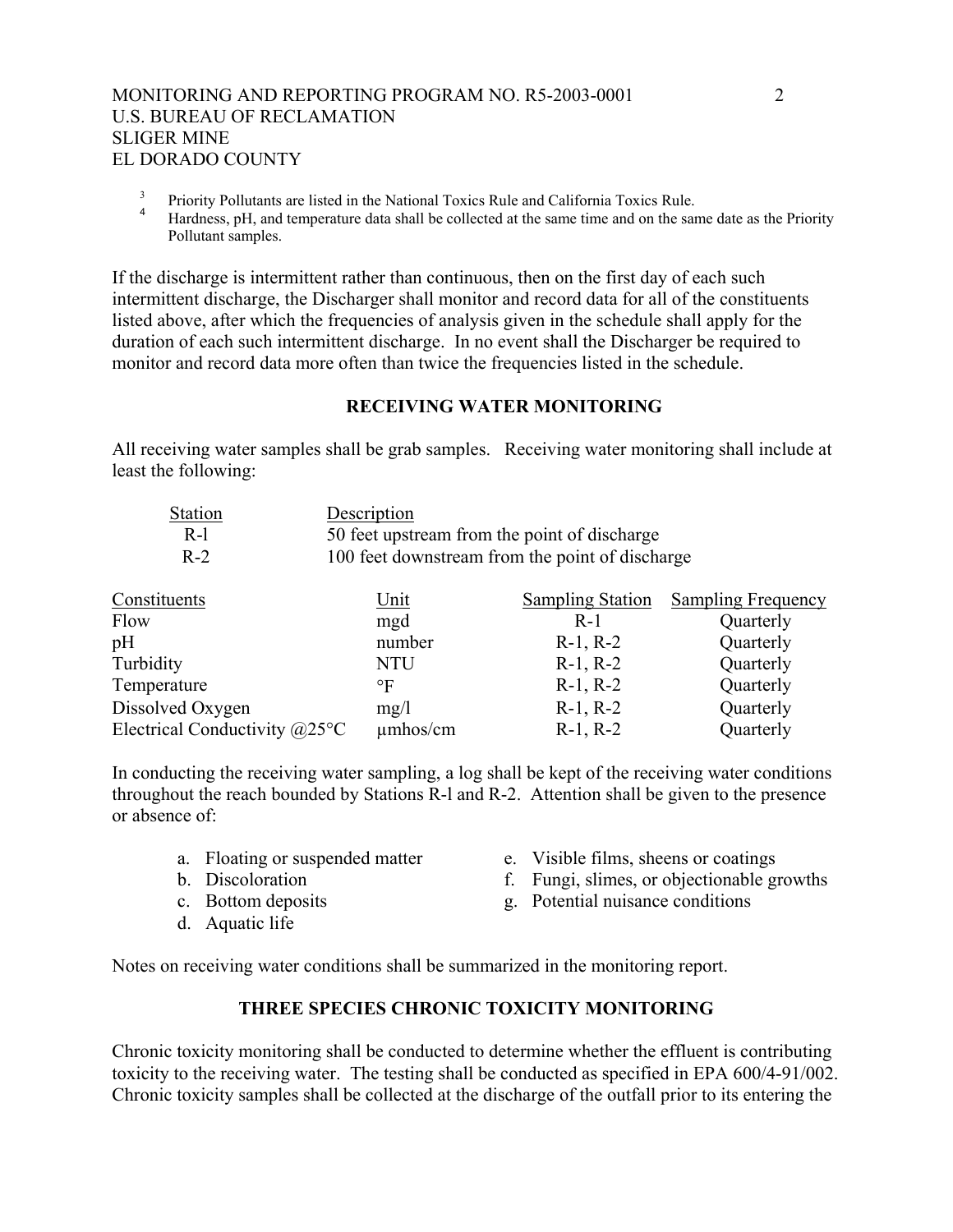# MONITORING AND REPORTING PROGRAM NO. R5-2003-0001 2 U.S. BUREAU OF RECLAMATION SLIGER MINE EL DORADO COUNTY

- 3  $\frac{3}{4}$  Priority Pollutants are listed in the National Toxics Rule and California Toxics Rule.
- Hardness, pH, and temperature data shall be collected at the same time and on the same date as the Priority Pollutant samples.

If the discharge is intermittent rather than continuous, then on the first day of each such intermittent discharge, the Discharger shall monitor and record data for all of the constituents listed above, after which the frequencies of analysis given in the schedule shall apply for the duration of each such intermittent discharge. In no event shall the Discharger be required to monitor and record data more often than twice the frequencies listed in the schedule.

### **RECEIVING WATER MONITORING**

All receiving water samples shall be grab samples. Receiving water monitoring shall include at least the following:

| <b>Station</b> | Description                                     |
|----------------|-------------------------------------------------|
| R-1            | 50 feet upstream from the point of discharge    |
| $R-2$          | 100 feet downstream from the point of discharge |

| Constituents                    | <u>Unit</u>   | <b>Sampling Station</b> | <b>Sampling Frequency</b> |
|---------------------------------|---------------|-------------------------|---------------------------|
| Flow                            | mgd           | $R-1$                   | Quarterly                 |
| pH                              | number        | $R-1, R-2$              | Quarterly                 |
| Turbidity                       | <b>NTU</b>    | $R-1, R-2$              | Quarterly                 |
| Temperature                     | $\circ$ F     | $R-1, R-2$              | Quarterly                 |
| Dissolved Oxygen                | mg/1          | $R-1, R-2$              | Quarterly                 |
| Electrical Conductivity $@25°C$ | $\mu$ mhos/cm | $R-1, R-2$              | Quarterly                 |

In conducting the receiving water sampling, a log shall be kept of the receiving water conditions throughout the reach bounded by Stations R-l and R-2. Attention shall be given to the presence or absence of:

- 
- 
- 
- d. Aquatic life
- a. Floating or suspended matter e. Visible films, sheens or coatings
- b. Discoloration f. Fungi, slimes, or objectionable growths
- c. Bottom deposits g. Potential nuisance conditions

Notes on receiving water conditions shall be summarized in the monitoring report.

# **THREE SPECIES CHRONIC TOXICITY MONITORING**

Chronic toxicity monitoring shall be conducted to determine whether the effluent is contributing toxicity to the receiving water. The testing shall be conducted as specified in EPA 600/4-91/002. Chronic toxicity samples shall be collected at the discharge of the outfall prior to its entering the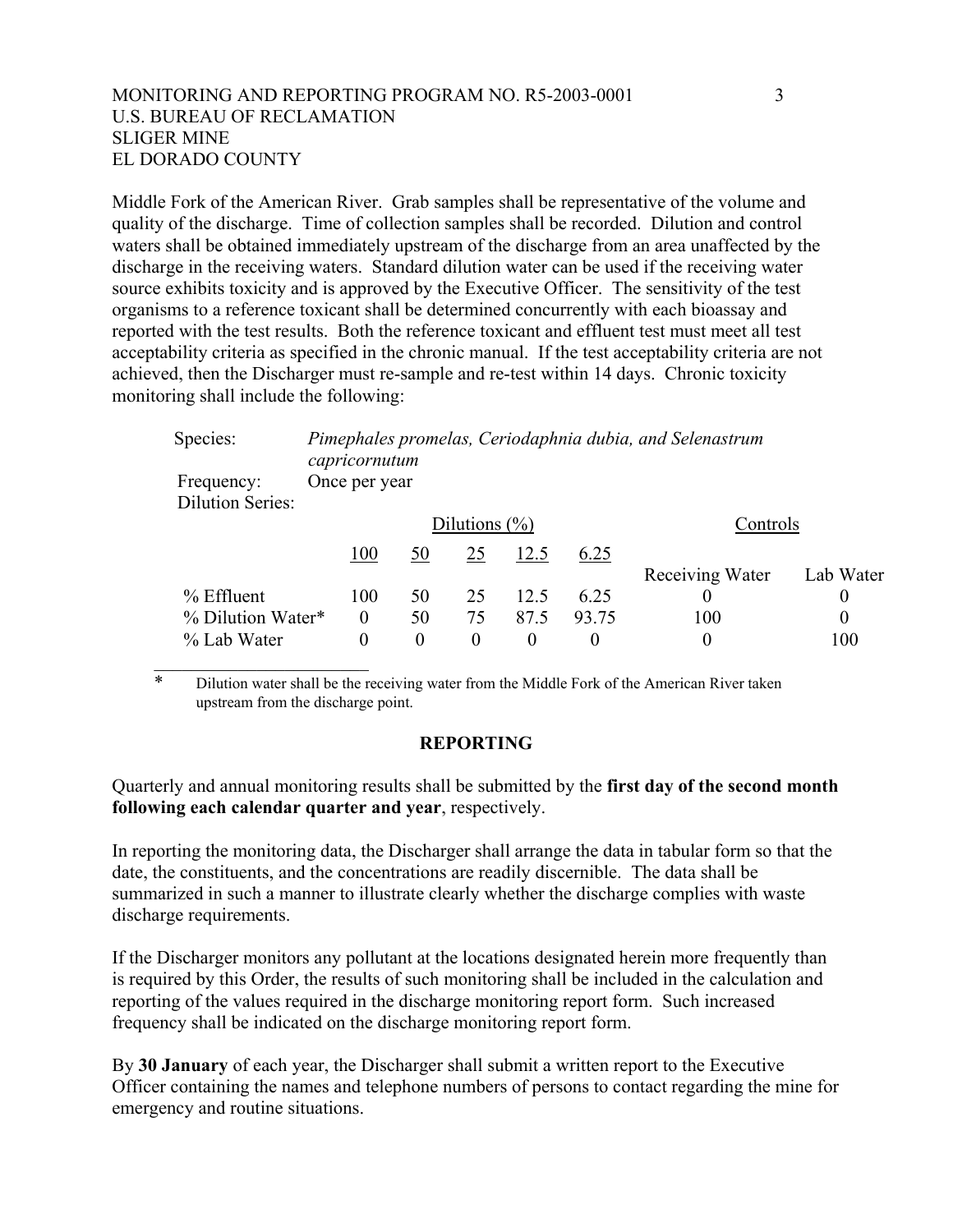# MONITORING AND REPORTING PROGRAM NO. R5-2003-0001 3 U.S. BUREAU OF RECLAMATION SLIGER MINE EL DORADO COUNTY

Middle Fork of the American River. Grab samples shall be representative of the volume and quality of the discharge. Time of collection samples shall be recorded. Dilution and control waters shall be obtained immediately upstream of the discharge from an area unaffected by the discharge in the receiving waters. Standard dilution water can be used if the receiving water source exhibits toxicity and is approved by the Executive Officer. The sensitivity of the test organisms to a reference toxicant shall be determined concurrently with each bioassay and reported with the test results. Both the reference toxicant and effluent test must meet all test acceptability criteria as specified in the chronic manual. If the test acceptability criteria are not achieved, then the Discharger must re-sample and re-test within 14 days. Chronic toxicity monitoring shall include the following:

| Species:                | Pimephales promelas, Ceriodaphnia dubia, and Selenastrum<br>capricornutum |                   |                  |          |       |                  |                  |
|-------------------------|---------------------------------------------------------------------------|-------------------|------------------|----------|-------|------------------|------------------|
| Frequency:              | Once per year                                                             |                   |                  |          |       |                  |                  |
| <b>Dilution Series:</b> |                                                                           |                   |                  |          |       |                  |                  |
|                         |                                                                           | Dilutions $(\% )$ |                  |          |       | Controls         |                  |
|                         | 100                                                                       | 50                | 25               | 12.5     | 6.25  |                  |                  |
|                         |                                                                           |                   |                  |          |       | Receiving Water  | Lab Water        |
| $%$ Effluent            | 100                                                                       | 50                | 25               | 12.5     | 6.25  |                  | 0                |
| % Dilution Water*       | $\theta$                                                                  | 50                | 75               | 87.5     | 93.75 | 100              | $\boldsymbol{0}$ |
| % Lab Water             | $\boldsymbol{0}$                                                          | $\theta$          | $\boldsymbol{0}$ | $\theta$ | 0     | $\boldsymbol{0}$ | 100              |

\* Dilution water shall be the receiving water from the Middle Fork of the American River taken upstream from the discharge point.

### **REPORTING**

Quarterly and annual monitoring results shall be submitted by the **first day of the second month following each calendar quarter and year**, respectively.

In reporting the monitoring data, the Discharger shall arrange the data in tabular form so that the date, the constituents, and the concentrations are readily discernible. The data shall be summarized in such a manner to illustrate clearly whether the discharge complies with waste discharge requirements.

If the Discharger monitors any pollutant at the locations designated herein more frequently than is required by this Order, the results of such monitoring shall be included in the calculation and reporting of the values required in the discharge monitoring report form. Such increased frequency shall be indicated on the discharge monitoring report form.

By **30 January** of each year, the Discharger shall submit a written report to the Executive Officer containing the names and telephone numbers of persons to contact regarding the mine for emergency and routine situations.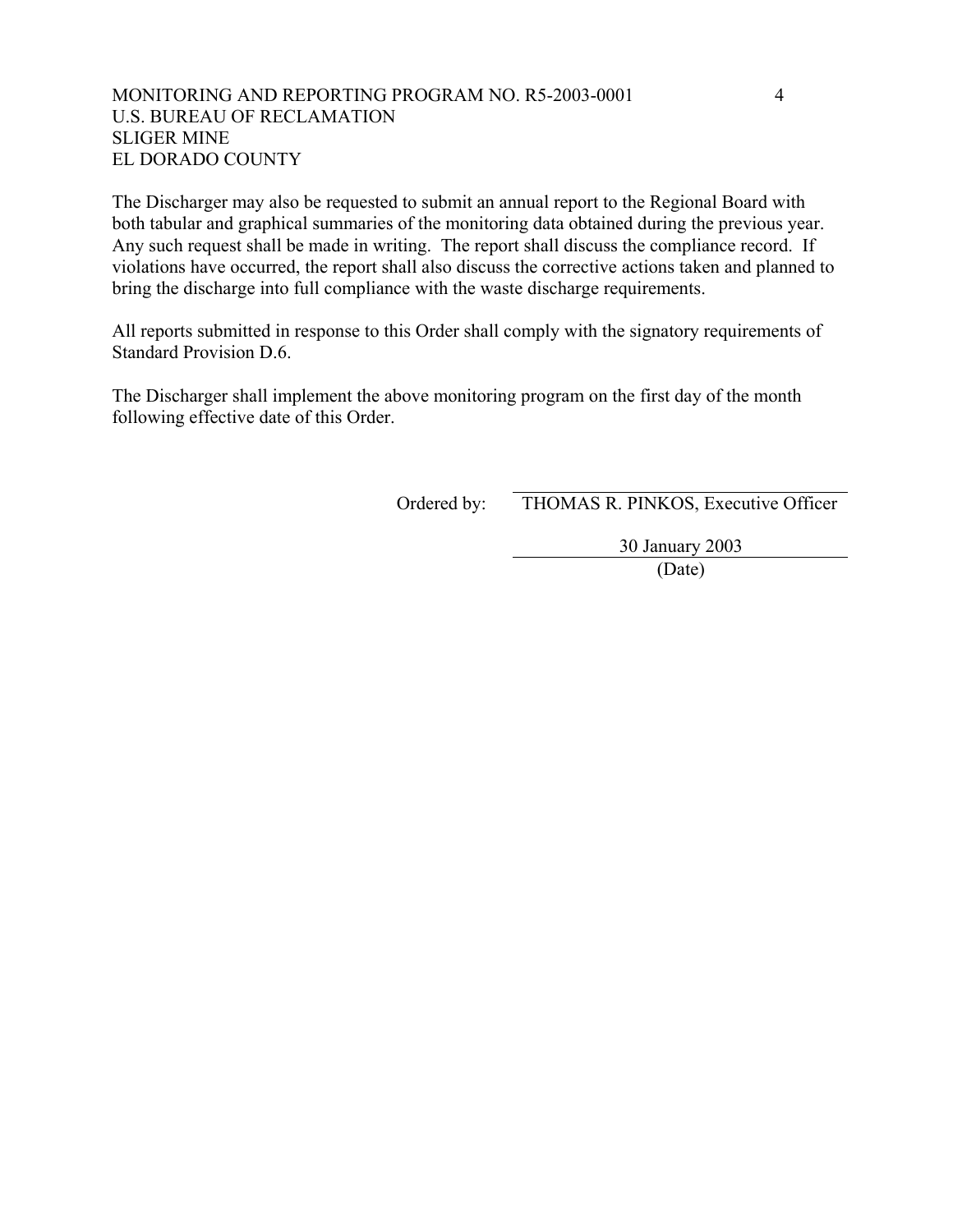# MONITORING AND REPORTING PROGRAM NO. R5-2003-0001 4 U.S. BUREAU OF RECLAMATION SLIGER MINE EL DORADO COUNTY

The Discharger may also be requested to submit an annual report to the Regional Board with both tabular and graphical summaries of the monitoring data obtained during the previous year. Any such request shall be made in writing. The report shall discuss the compliance record. If violations have occurred, the report shall also discuss the corrective actions taken and planned to bring the discharge into full compliance with the waste discharge requirements.

All reports submitted in response to this Order shall comply with the signatory requirements of Standard Provision D.6.

The Discharger shall implement the above monitoring program on the first day of the month following effective date of this Order.

Ordered by: THOMAS R. PINKOS, Executive Officer

30 January 2003

(Date)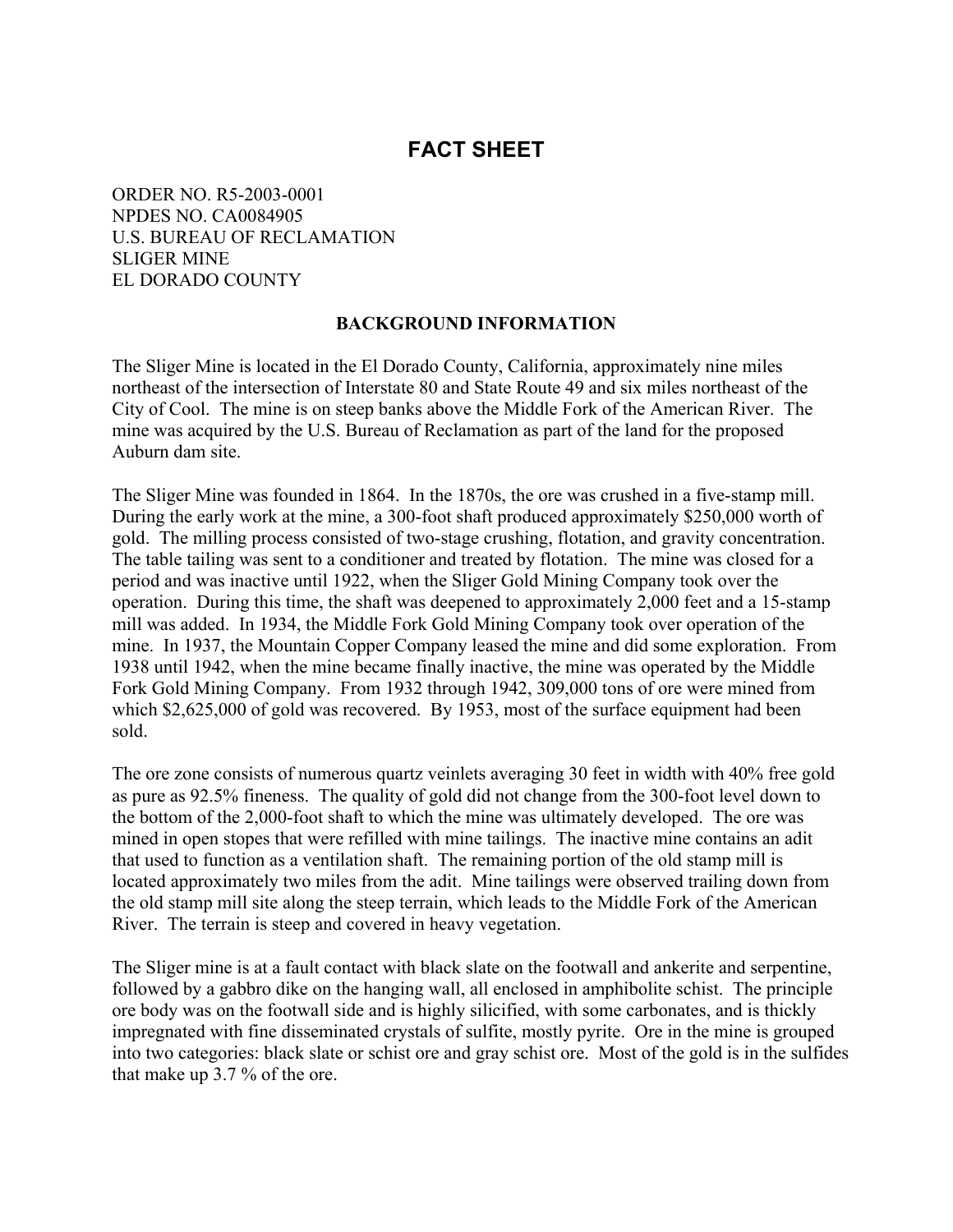# **FACT SHEET**

ORDER NO. R5-2003-0001 NPDES NO. CA0084905 U.S. BUREAU OF RECLAMATION SLIGER MINE EL DORADO COUNTY

### **BACKGROUND INFORMATION**

The Sliger Mine is located in the El Dorado County, California, approximately nine miles northeast of the intersection of Interstate 80 and State Route 49 and six miles northeast of the City of Cool. The mine is on steep banks above the Middle Fork of the American River. The mine was acquired by the U.S. Bureau of Reclamation as part of the land for the proposed Auburn dam site.

The Sliger Mine was founded in 1864. In the 1870s, the ore was crushed in a five-stamp mill. During the early work at the mine, a 300-foot shaft produced approximately \$250,000 worth of gold. The milling process consisted of two-stage crushing, flotation, and gravity concentration. The table tailing was sent to a conditioner and treated by flotation. The mine was closed for a period and was inactive until 1922, when the Sliger Gold Mining Company took over the operation. During this time, the shaft was deepened to approximately 2,000 feet and a 15-stamp mill was added. In 1934, the Middle Fork Gold Mining Company took over operation of the mine. In 1937, the Mountain Copper Company leased the mine and did some exploration. From 1938 until 1942, when the mine became finally inactive, the mine was operated by the Middle Fork Gold Mining Company. From 1932 through 1942, 309,000 tons of ore were mined from which \$2,625,000 of gold was recovered. By 1953, most of the surface equipment had been sold.

The ore zone consists of numerous quartz veinlets averaging 30 feet in width with 40% free gold as pure as 92.5% fineness. The quality of gold did not change from the 300-foot level down to the bottom of the 2,000-foot shaft to which the mine was ultimately developed. The ore was mined in open stopes that were refilled with mine tailings. The inactive mine contains an adit that used to function as a ventilation shaft. The remaining portion of the old stamp mill is located approximately two miles from the adit. Mine tailings were observed trailing down from the old stamp mill site along the steep terrain, which leads to the Middle Fork of the American River. The terrain is steep and covered in heavy vegetation.

The Sliger mine is at a fault contact with black slate on the footwall and ankerite and serpentine, followed by a gabbro dike on the hanging wall, all enclosed in amphibolite schist. The principle ore body was on the footwall side and is highly silicified, with some carbonates, and is thickly impregnated with fine disseminated crystals of sulfite, mostly pyrite. Ore in the mine is grouped into two categories: black slate or schist ore and gray schist ore. Most of the gold is in the sulfides that make up 3.7 % of the ore.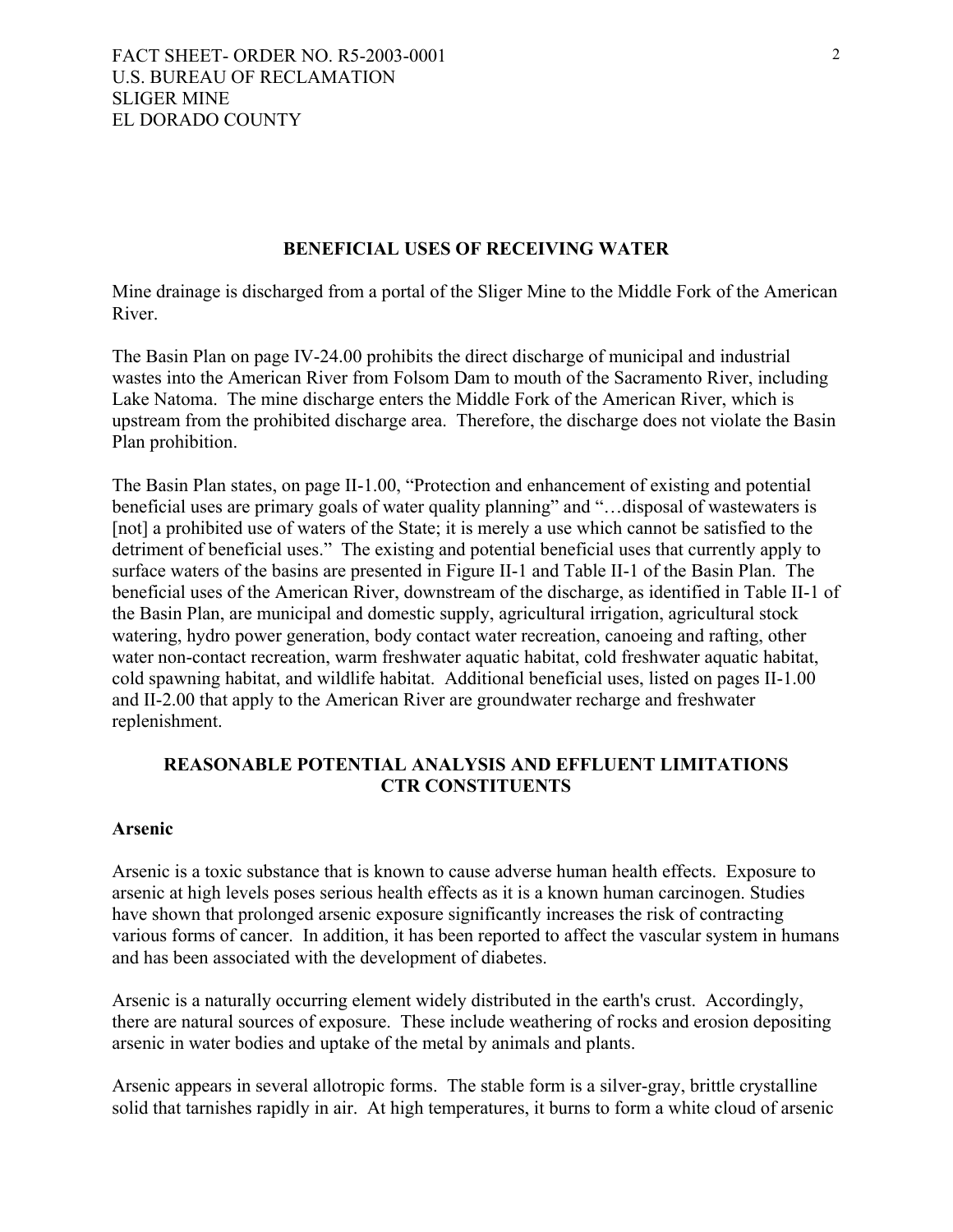### **BENEFICIAL USES OF RECEIVING WATER**

Mine drainage is discharged from a portal of the Sliger Mine to the Middle Fork of the American River.

The Basin Plan on page IV-24.00 prohibits the direct discharge of municipal and industrial wastes into the American River from Folsom Dam to mouth of the Sacramento River, including Lake Natoma. The mine discharge enters the Middle Fork of the American River, which is upstream from the prohibited discharge area. Therefore, the discharge does not violate the Basin Plan prohibition.

The Basin Plan states, on page II-1.00, "Protection and enhancement of existing and potential beneficial uses are primary goals of water quality planning" and "…disposal of wastewaters is [not] a prohibited use of waters of the State; it is merely a use which cannot be satisfied to the detriment of beneficial uses." The existing and potential beneficial uses that currently apply to surface waters of the basins are presented in Figure II-1 and Table II-1 of the Basin Plan. The beneficial uses of the American River, downstream of the discharge, as identified in Table II-1 of the Basin Plan, are municipal and domestic supply, agricultural irrigation, agricultural stock watering, hydro power generation, body contact water recreation, canoeing and rafting, other water non-contact recreation, warm freshwater aquatic habitat, cold freshwater aquatic habitat, cold spawning habitat, and wildlife habitat. Additional beneficial uses, listed on pages II-1.00 and II-2.00 that apply to the American River are groundwater recharge and freshwater replenishment.

# **REASONABLE POTENTIAL ANALYSIS AND EFFLUENT LIMITATIONS CTR CONSTITUENTS**

### **Arsenic**

Arsenic is a toxic substance that is known to cause adverse human health effects. Exposure to arsenic at high levels poses serious health effects as it is a known human carcinogen. Studies have shown that prolonged arsenic exposure significantly increases the risk of contracting various forms of cancer. In addition, it has been reported to affect the vascular system in humans and has been associated with the development of diabetes.

Arsenic is a naturally occurring element widely distributed in the earth's crust. Accordingly, there are natural sources of exposure. These include weathering of rocks and erosion depositing arsenic in water bodies and uptake of the metal by animals and plants.

Arsenic appears in several allotropic forms. The stable form is a silver-gray, brittle crystalline solid that tarnishes rapidly in air. At high temperatures, it burns to form a white cloud of arsenic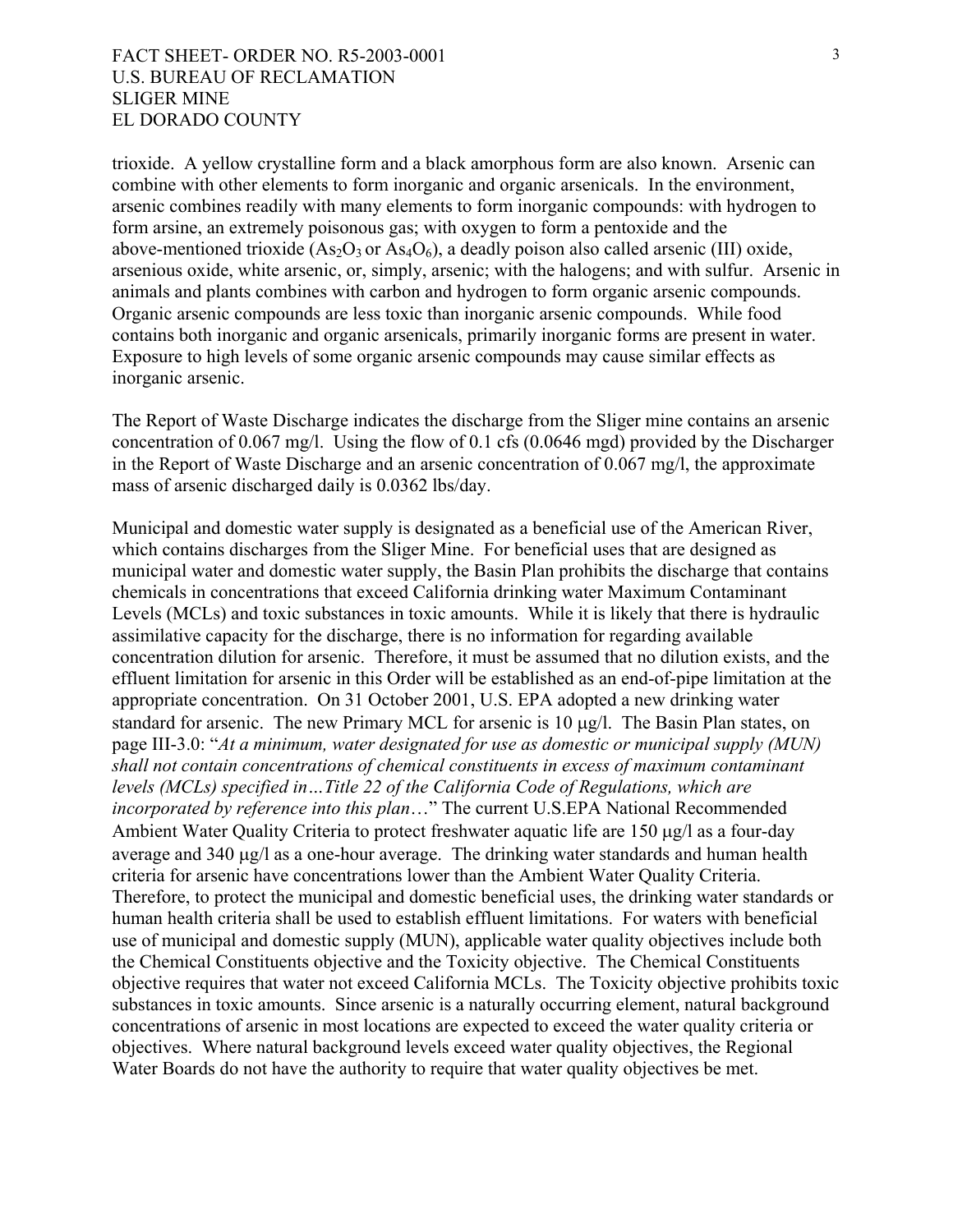trioxide. A yellow crystalline form and a black amorphous form are also known. Arsenic can combine with other elements to form inorganic and organic arsenicals. In the environment, arsenic combines readily with many elements to form inorganic compounds: with hydrogen to form arsine, an extremely poisonous gas; with oxygen to form a pentoxide and the above-mentioned trioxide  $(As<sub>2</sub>O<sub>3</sub>$  or  $As<sub>4</sub>O<sub>6</sub>)$ , a deadly poison also called arsenic (III) oxide, arsenious oxide, white arsenic, or, simply, arsenic; with the halogens; and with sulfur. Arsenic in animals and plants combines with carbon and hydrogen to form organic arsenic compounds. Organic arsenic compounds are less toxic than inorganic arsenic compounds. While food contains both inorganic and organic arsenicals, primarily inorganic forms are present in water. Exposure to high levels of some organic arsenic compounds may cause similar effects as inorganic arsenic.

The Report of Waste Discharge indicates the discharge from the Sliger mine contains an arsenic concentration of 0.067 mg/l. Using the flow of 0.1 cfs (0.0646 mgd) provided by the Discharger in the Report of Waste Discharge and an arsenic concentration of 0.067 mg/l, the approximate mass of arsenic discharged daily is 0.0362 lbs/day.

Municipal and domestic water supply is designated as a beneficial use of the American River, which contains discharges from the Sliger Mine. For beneficial uses that are designed as municipal water and domestic water supply, the Basin Plan prohibits the discharge that contains chemicals in concentrations that exceed California drinking water Maximum Contaminant Levels (MCLs) and toxic substances in toxic amounts. While it is likely that there is hydraulic assimilative capacity for the discharge, there is no information for regarding available concentration dilution for arsenic. Therefore, it must be assumed that no dilution exists, and the effluent limitation for arsenic in this Order will be established as an end-of-pipe limitation at the appropriate concentration. On 31 October 2001, U.S. EPA adopted a new drinking water standard for arsenic. The new Primary MCL for arsenic is 10 µg/l. The Basin Plan states, on page III-3.0: "*At a minimum, water designated for use as domestic or municipal supply (MUN) shall not contain concentrations of chemical constituents in excess of maximum contaminant levels (MCLs) specified in…Title 22 of the California Code of Regulations, which are incorporated by reference into this plan*…" The current U.S.EPA National Recommended Ambient Water Quality Criteria to protect freshwater aquatic life are 150 µg/l as a four-day average and 340 µg/l as a one-hour average. The drinking water standards and human health criteria for arsenic have concentrations lower than the Ambient Water Quality Criteria. Therefore, to protect the municipal and domestic beneficial uses, the drinking water standards or human health criteria shall be used to establish effluent limitations. For waters with beneficial use of municipal and domestic supply (MUN), applicable water quality objectives include both the Chemical Constituents objective and the Toxicity objective. The Chemical Constituents objective requires that water not exceed California MCLs. The Toxicity objective prohibits toxic substances in toxic amounts. Since arsenic is a naturally occurring element, natural background concentrations of arsenic in most locations are expected to exceed the water quality criteria or objectives. Where natural background levels exceed water quality objectives, the Regional Water Boards do not have the authority to require that water quality objectives be met.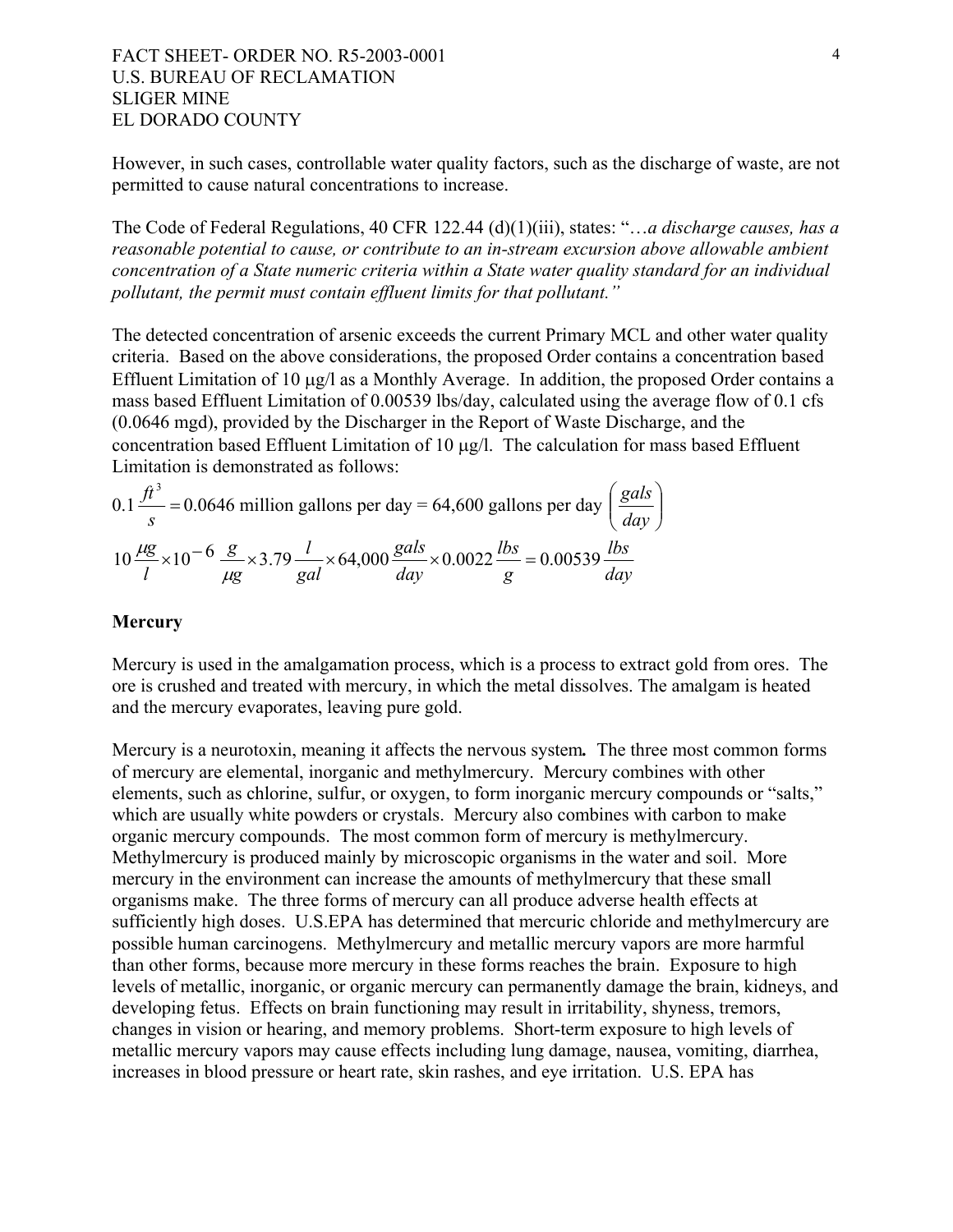However, in such cases, controllable water quality factors, such as the discharge of waste, are not permitted to cause natural concentrations to increase.

The Code of Federal Regulations, 40 CFR 122.44 (d)(1)(iii), states: "…*a discharge causes, has a reasonable potential to cause, or contribute to an in-stream excursion above allowable ambient concentration of a State numeric criteria within a State water quality standard for an individual pollutant, the permit must contain effluent limits for that pollutant."* 

The detected concentration of arsenic exceeds the current Primary MCL and other water quality criteria. Based on the above considerations, the proposed Order contains a concentration based Effluent Limitation of 10 µg/l as a Monthly Average. In addition, the proposed Order contains a mass based Effluent Limitation of 0.00539 lbs/day, calculated using the average flow of 0.1 cfs (0.0646 mgd), provided by the Discharger in the Report of Waste Discharge, and the concentration based Effluent Limitation of 10 µg/l. The calculation for mass based Effluent Limitation is demonstrated as follows:

$$
0.1 \frac{ft^3}{s} = 0.0646 \text{ million gallons per day} = 64,600 \text{ gallons per day} \left(\frac{gals}{day}\right)
$$

$$
10 \frac{\mu g}{l} \times 10^{-6} \frac{g}{\mu g} \times 3.79 \frac{l}{gal} \times 64,000 \frac{gals}{day} \times 0.0022 \frac{lbs}{g} = 0.00539 \frac{lbs}{day}
$$

### **Mercury**

Mercury is used in the amalgamation process, which is a process to extract gold from ores. The ore is crushed and treated with mercury, in which the metal dissolves. The amalgam is heated and the mercury evaporates, leaving pure gold.

Mercury is a neurotoxin, meaning it affects the nervous system*.* The three most common forms of mercury are elemental, inorganic and methylmercury. Mercury combines with other elements, such as chlorine, sulfur, or oxygen, to form inorganic mercury compounds or "salts," which are usually white powders or crystals. Mercury also combines with carbon to make organic mercury compounds. The most common form of mercury is methylmercury. Methylmercury is produced mainly by microscopic organisms in the water and soil. More mercury in the environment can increase the amounts of methylmercury that these small organisms make. The three forms of mercury can all produce adverse health effects at sufficiently high doses. U.S.EPA has determined that mercuric chloride and methylmercury are possible human carcinogens. Methylmercury and metallic mercury vapors are more harmful than other forms, because more mercury in these forms reaches the brain. Exposure to high levels of metallic, inorganic, or organic mercury can permanently damage the brain, kidneys, and developing fetus. Effects on brain functioning may result in irritability, shyness, tremors, changes in vision or hearing, and memory problems. Short-term exposure to high levels of metallic mercury vapors may cause effects including lung damage, nausea, vomiting, diarrhea, increases in blood pressure or heart rate, skin rashes, and eye irritation. U.S. EPA has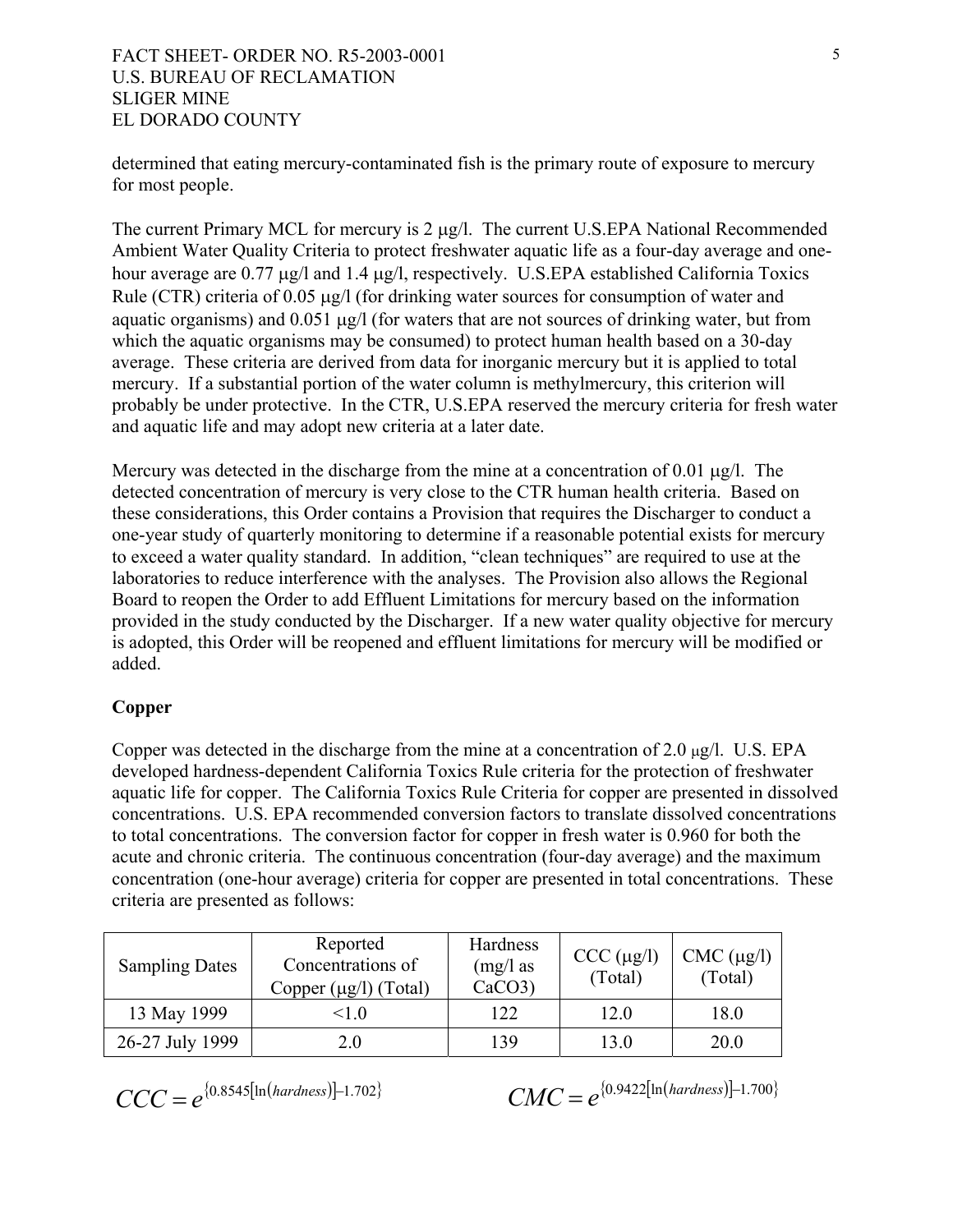determined that eating mercury-contaminated fish is the primary route of exposure to mercury for most people.

The current Primary MCL for mercury is 2 µg/l. The current U.S.EPA National Recommended Ambient Water Quality Criteria to protect freshwater aquatic life as a four-day average and onehour average are 0.77 µg/l and 1.4 µg/l, respectively. U.S.EPA established California Toxics Rule (CTR) criteria of 0.05  $\mu$ g/l (for drinking water sources for consumption of water and aquatic organisms) and 0.051 µg/l (for waters that are not sources of drinking water, but from which the aquatic organisms may be consumed) to protect human health based on a 30-day average. These criteria are derived from data for inorganic mercury but it is applied to total mercury. If a substantial portion of the water column is methylmercury, this criterion will probably be under protective. In the CTR, U.S.EPA reserved the mercury criteria for fresh water and aquatic life and may adopt new criteria at a later date.

Mercury was detected in the discharge from the mine at a concentration of 0.01  $\mu$ g/l. The detected concentration of mercury is very close to the CTR human health criteria. Based on these considerations, this Order contains a Provision that requires the Discharger to conduct a one-year study of quarterly monitoring to determine if a reasonable potential exists for mercury to exceed a water quality standard. In addition, "clean techniques" are required to use at the laboratories to reduce interference with the analyses. The Provision also allows the Regional Board to reopen the Order to add Effluent Limitations for mercury based on the information provided in the study conducted by the Discharger. If a new water quality objective for mercury is adopted, this Order will be reopened and effluent limitations for mercury will be modified or added.

# **Copper**

Copper was detected in the discharge from the mine at a concentration of 2.0  $\mu$ g/l. U.S. EPA developed hardness-dependent California Toxics Rule criteria for the protection of freshwater aquatic life for copper. The California Toxics Rule Criteria for copper are presented in dissolved concentrations. U.S. EPA recommended conversion factors to translate dissolved concentrations to total concentrations. The conversion factor for copper in fresh water is 0.960 for both the acute and chronic criteria. The continuous concentration (four-day average) and the maximum concentration (one-hour average) criteria for copper are presented in total concentrations. These criteria are presented as follows:

| <b>Sampling Dates</b> | Reported<br>Concentrations of<br>Copper $(\mu g/l)$ (Total) | Hardness<br>$(mg/l)$ as<br>CaCO3 | CCC (µg/l)<br>(Total) | $CMC (\mu g/l)$<br>(Total) |
|-----------------------|-------------------------------------------------------------|----------------------------------|-----------------------|----------------------------|
| 13 May 1999           | $<$ 10                                                      | 122                              | 12.0                  | 18.0                       |
| 26-27 July 1999       | 2.0                                                         | 139                              | 13.0                  | 20.0                       |

$$
CCC = e^{\{0.8545[ln(hardness)]-1.702\}}
$$

 $CMC = e^{(0.9422[\ln(hardness)]-1.700}$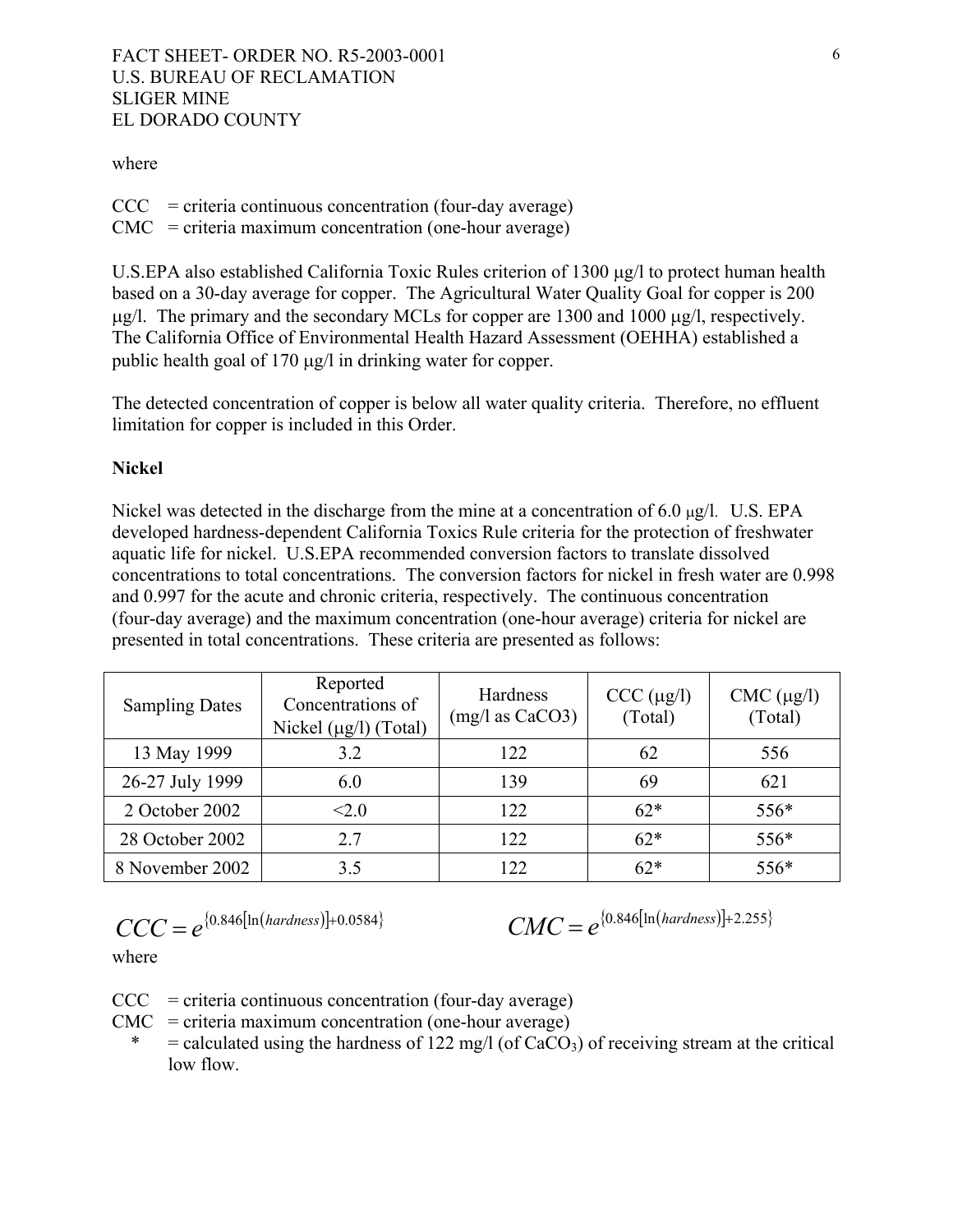#### where

- $CCC = criteria$  continuous concentration (four-day average)
- CMC = criteria maximum concentration (one-hour average)

U.S.EPA also established California Toxic Rules criterion of 1300  $\mu$ g/l to protect human health based on a 30-day average for copper. The Agricultural Water Quality Goal for copper is 200  $\mu$ g/l. The primary and the secondary MCLs for copper are 1300 and 1000  $\mu$ g/l, respectively. The California Office of Environmental Health Hazard Assessment (OEHHA) established a public health goal of 170 µg/l in drinking water for copper.

The detected concentration of copper is below all water quality criteria. Therefore, no effluent limitation for copper is included in this Order.

#### **Nickel**

Nickel was detected in the discharge from the mine at a concentration of 6.0  $\mu$ g/l. U.S. EPA developed hardness-dependent California Toxics Rule criteria for the protection of freshwater aquatic life for nickel. U.S.EPA recommended conversion factors to translate dissolved concentrations to total concentrations. The conversion factors for nickel in fresh water are 0.998 and 0.997 for the acute and chronic criteria, respectively. The continuous concentration (four-day average) and the maximum concentration (one-hour average) criteria for nickel are presented in total concentrations. These criteria are presented as follows:

| <b>Sampling Dates</b> | Reported<br>Concentrations of<br>Nickel $(\mu g/l)$ (Total) | Hardness<br>$(mg/l$ as $CaCO3$ ) | CCC (µg/l)<br>(Total) | $CMC$ ( $\mu$ g/l)<br>(Total) |
|-----------------------|-------------------------------------------------------------|----------------------------------|-----------------------|-------------------------------|
| 13 May 1999           | 3.2                                                         | 122                              | 62                    | 556                           |
| 26-27 July 1999       | 6.0                                                         | 139                              | 69                    | 621                           |
| 2 October 2002        | <2.0                                                        | 122                              | $62*$                 | $556*$                        |
| 28 October 2002       | 2.7                                                         | 122                              | $62*$                 | 556*                          |
| 8 November 2002       | 3.5                                                         | 122                              | $62*$                 | 556*                          |

$$
CCC = e^{ \{0.846 \left[ \ln \left( \frac{hardness}{\right)} \right] + 0.0584 \}} \qquad CMC = e^{ \{0.846 \left[ \ln \left( \frac{hardness}{\right)} \right] + 2.255 \}}
$$

$$
CMC = e^{\{0.846[\ln(hardness)]+2.255\}}
$$

where

- $CCC = criteria continuous concentration (four-day average)$
- $CMC =$  criteria maximum concentration (one-hour average)
	- $=$  calculated using the hardness of 122 mg/l (of CaCO<sub>3</sub>) of receiving stream at the critical low flow.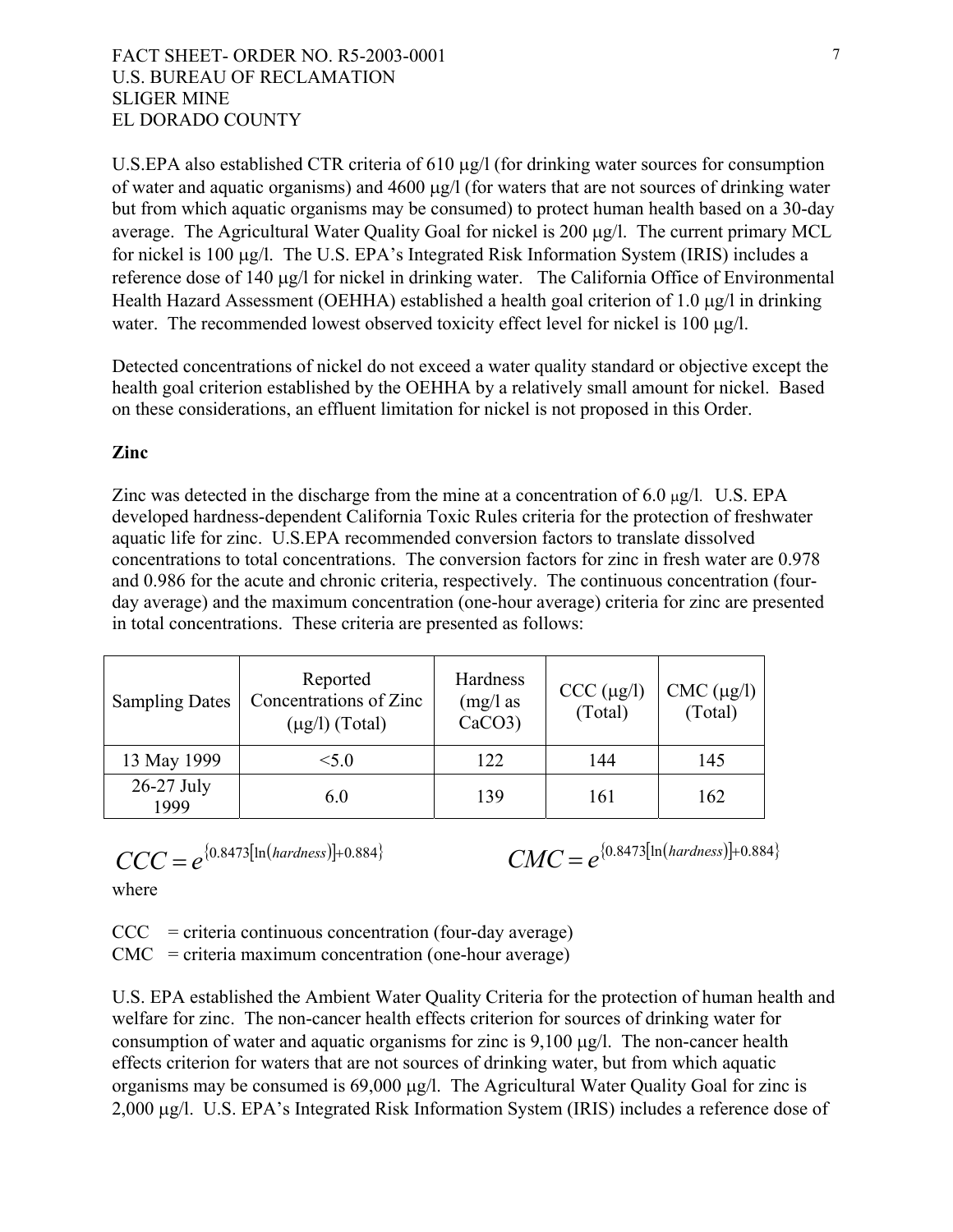U.S.EPA also established CTR criteria of 610 µg/l (for drinking water sources for consumption of water and aquatic organisms) and 4600 µg/l (for waters that are not sources of drinking water but from which aquatic organisms may be consumed) to protect human health based on a 30-day average. The Agricultural Water Quality Goal for nickel is 200 µg/l. The current primary MCL for nickel is 100 µg/l. The U.S. EPA's Integrated Risk Information System (IRIS) includes a reference dose of 140 µg/l for nickel in drinking water. The California Office of Environmental Health Hazard Assessment (OEHHA) established a health goal criterion of 1.0 µg/l in drinking water. The recommended lowest observed toxicity effect level for nickel is 100  $\mu$ g/l.

Detected concentrations of nickel do not exceed a water quality standard or objective except the health goal criterion established by the OEHHA by a relatively small amount for nickel. Based on these considerations, an effluent limitation for nickel is not proposed in this Order.

# **Zinc**

Zinc was detected in the discharge from the mine at a concentration of 6.0  $\mu$ g/l. U.S. EPA developed hardness-dependent California Toxic Rules criteria for the protection of freshwater aquatic life for zinc. U.S.EPA recommended conversion factors to translate dissolved concentrations to total concentrations. The conversion factors for zinc in fresh water are 0.978 and 0.986 for the acute and chronic criteria, respectively. The continuous concentration (fourday average) and the maximum concentration (one-hour average) criteria for zinc are presented in total concentrations. These criteria are presented as follows:

| <b>Sampling Dates</b> | Reported<br>Concentrations of Zinc<br>$(\mu g/l)$ (Total) | Hardness<br>$(mg/l)$ as<br>$CaCO3$ ) | CCC (µg/l)<br>(Total) | $CMC$ ( $\mu$ g/l)<br>(Total) |
|-----------------------|-----------------------------------------------------------|--------------------------------------|-----------------------|-------------------------------|
| 13 May 1999           | < 5.0                                                     | 122                                  | 144                   | 145                           |
| $26-27$ July<br>1999  | 6.0                                                       | 139                                  | 161                   | 162                           |

$$
CCC = e^{(0.8473[\ln(hardness)]+0.884)}
$$
  
where

 $CMC = e^{(0.8473[\ln(hardness)]+0.884)}$ 

where

 $CCC = criteria continuous concentration (four-day average)$ CMC = criteria maximum concentration (one-hour average)

.S. EPA established the Ambient Water Quality Criteria for the protection of human health and U organisms may be consumed is 69,000 µg/l. The Agricultural Water Quality Goal for zinc is 2,000 µg/l. U.S. EPA's Integrated Risk Information System (IRIS) includes a reference dose of welfare for zinc. The non-cancer health effects criterion for sources of drinking water for consumption of water and aquatic organisms for zinc is 9,100 µg/l. The non-cancer health effects criterion for waters that are not sources of drinking water, but from which aquatic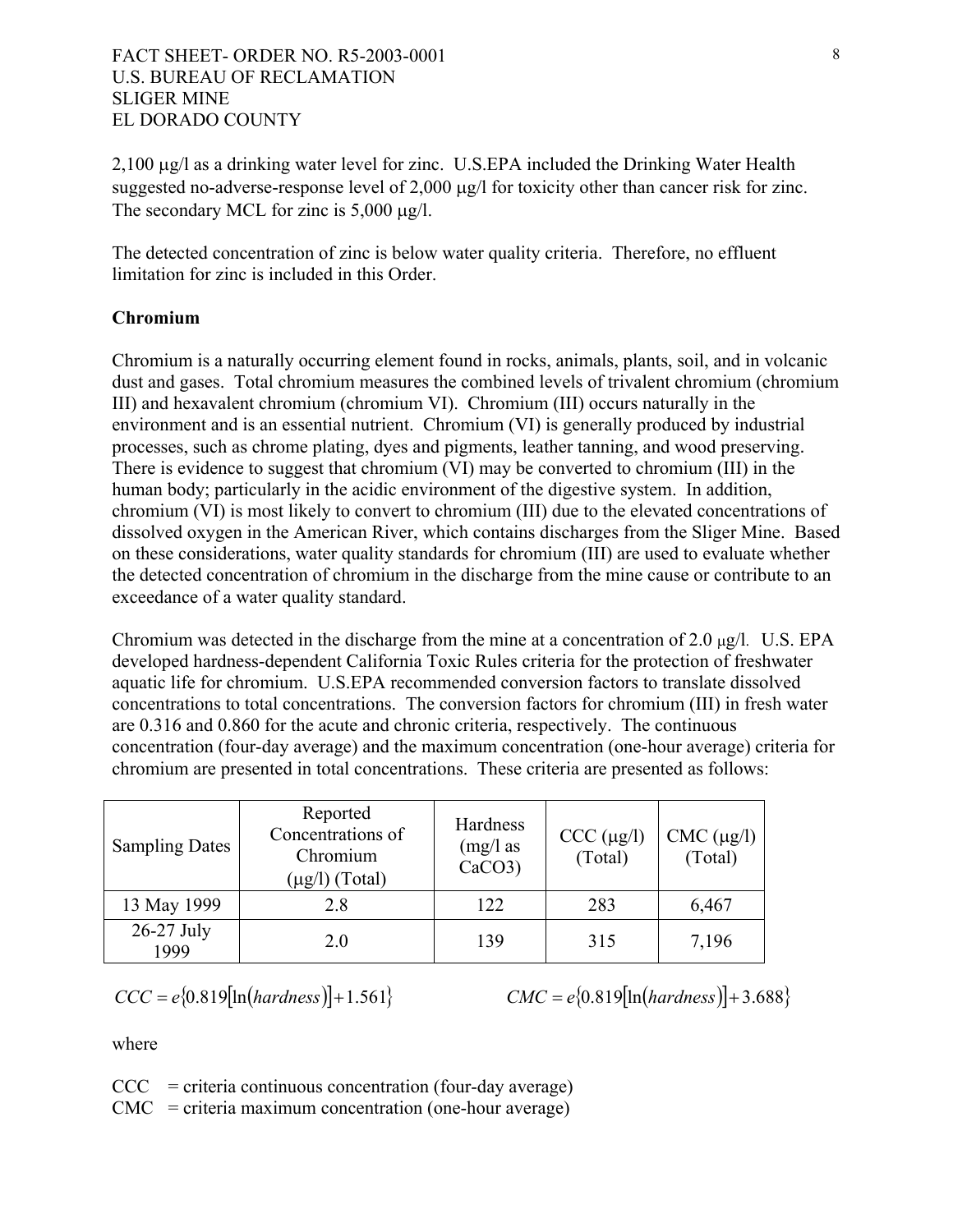suggested no-adverse-response level of 2,000 µg/l for toxicity other than cancer risk for zinc. 2,100  $\mu$ g/l as a drinking water level for zinc. U.S.EPA included the Drinking Water Health The secondary MCL for zinc is  $5,000 \mu g/l$ .

The detected concentration of zinc is below water quality criteria. Therefore, no effluent limitation for zinc is included in this Order.

# **hromium C**

Chromium is a naturally occurring element found in rocks, animals, plants, soil, and in volcanic environment and is an essential nutrient. Chromium (VI) is generally produced by industrial chromium (VI) is most likely to convert to chromium (III) due to the elevated concentrations of dust and gases. Total chromium measures the combined levels of trivalent chromium (chromium III) and hexavalent chromium (chromium VI). Chromium (III) occurs naturally in the processes, such as chrome plating, dyes and pigments, leather tanning, and wood preserving. There is evidence to suggest that chromium (VI) may be converted to chromium (III) in the human body; particularly in the acidic environment of the digestive system. In addition, dissolved oxygen in the American River, which contains discharges from the Sliger Mine. Based on these considerations, water quality standards for chromium (III) are used to evaluate whether the detected concentration of chromium in the discharge from the mine cause or contribute to an exceedance of a water quality standard.

Chromium was detected in the discharge from the mine at a concentration of  $2.0 \mu g/l$ . U.S. EPA concentrations to total concentrations. The conversion factors for chromium (III) in fresh water concentration (four-day average) and the maximum concentration (one-hour average) criteria for developed hardness-dependent California Toxic Rules criteria for the protection of freshwater aquatic life for chromium. U.S.EPA recommended conversion factors to translate dissolved are 0.316 and 0.860 for the acute and chronic criteria, respectively. The continuous chromium are presented in total concentrations. These criteria are presented as follows:

| <b>Sampling Dates</b> | Reported<br>Concentrations of<br>Chromium<br>$(\mu g/l)$ (Total) | Hardness<br>$(mg/l)$ as<br>$CaCO3$ ) | CCC (µg/l)<br>(Total) | $CMC$ ( $\mu$ g/l)<br>(Total) |
|-----------------------|------------------------------------------------------------------|--------------------------------------|-----------------------|-------------------------------|
| 13 May 1999           | 2.8                                                              | 122                                  | 283                   | 6,467                         |
| $26-27$ July<br>1999  | 2.0                                                              | 139                                  | 315                   | 7,196                         |

$$
CCC = e{0.819[n(hardness)]}+1.561
$$

 $e\{0.819[\ln(hardness)] + 1.561\}$  *CMC* =  $e\{0.819[\ln(hardness)] + 3.688\}$ 

where

 $CCC = criteria continuous concentration (four-day average)$ 

 $CMC =$  criteria maximum concentration (one-hour average)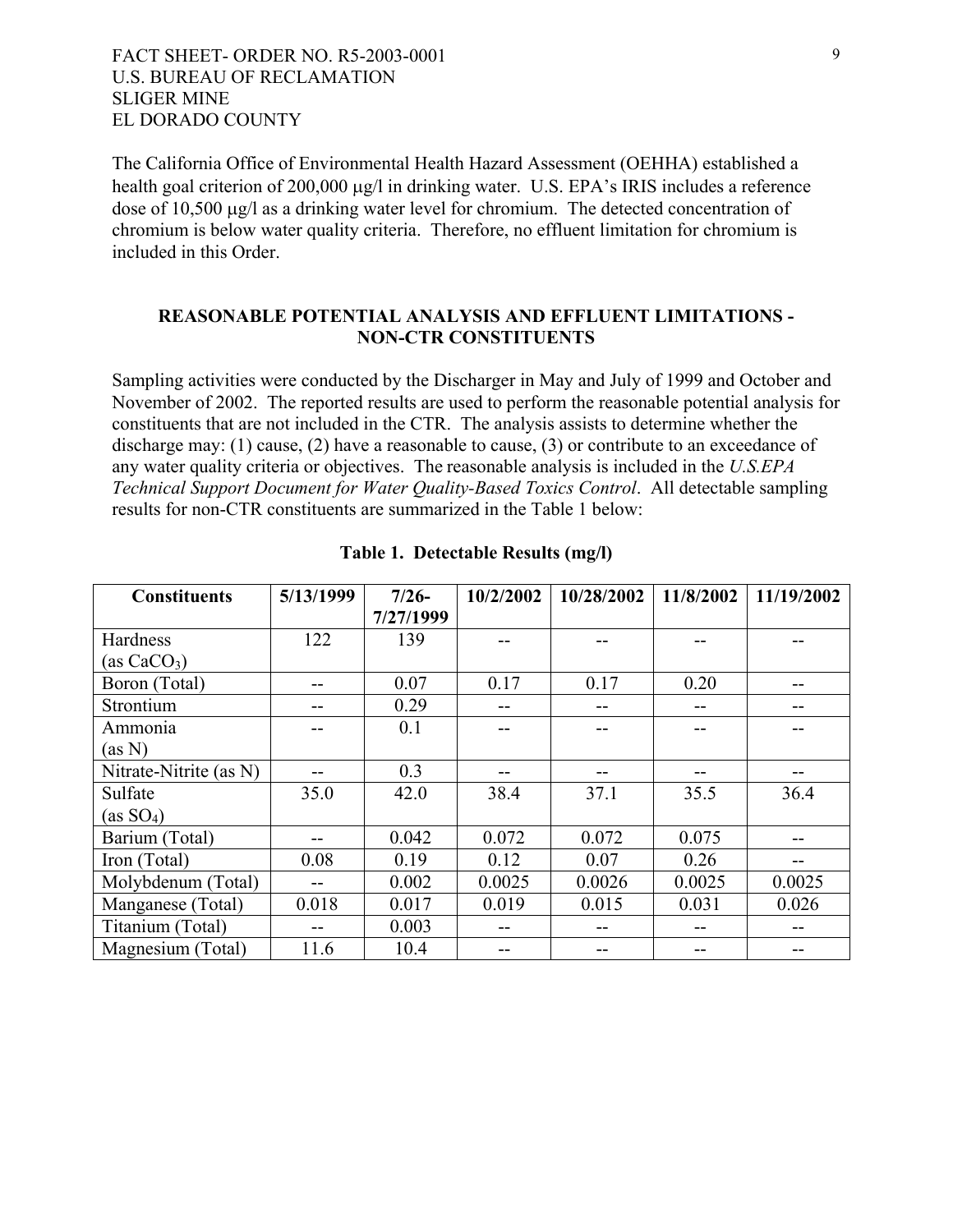The California Office of Environmental Health Hazard Assessment (OEHHA) established a health goal criterion of 200,000  $\mu$ g/l in drinking water. U.S. EPA's IRIS includes a reference dose of 10,500 µg/l as a drinking water level for chromium. The detected concentration of chromium is below water quality criteria. Therefore, no effluent limitation for chromium is included in this Order.

# **REASONABLE POTENTIAL ANALYSIS AND EFFLUENT LIMITATIONS - NON-CTR CONSTITUENTS**

Sampling activities were conducted by the Discharger in May and July of 1999 and October and discharge may:  $(1)$  cause,  $(2)$  have a reasonable to cause,  $(3)$  or contribute to an exceedance of November of 2002. The reported results are used to perform the reasonable potential analysis for constituents that are not included in the CTR. The analysis assists to determine whether the any water quality criteria or objectives. The reasonable analysis is included in the *U.S.EPA Technical Support Document for Water Quality-Based Toxics Control*. All detectable sampling results for non-CTR constituents are summarized in the Table 1 below:

| <b>Constituents</b>    | 5/13/1999 | $7/26-$   | 10/2/2002 | 10/28/2002 | 11/8/2002 | 11/19/2002 |
|------------------------|-----------|-----------|-----------|------------|-----------|------------|
|                        |           | 7/27/1999 |           |            |           |            |
| Hardness               | 122       | 139       |           |            |           |            |
| (as $CaCO3$ )          |           |           |           |            |           |            |
| Boron (Total)          |           | 0.07      | 0.17      | 0.17       | 0.20      |            |
| Strontium              | --        | 0.29      | --        | --         |           |            |
| Ammonia                |           | 0.1       |           |            |           |            |
| (as N)                 |           |           |           |            |           |            |
| Nitrate-Nitrite (as N) |           | 0.3       | --        |            |           |            |
| Sulfate                | 35.0      | 42.0      | 38.4      | 37.1       | 35.5      | 36.4       |
| (as SO <sub>4</sub> )  |           |           |           |            |           |            |
| Barium (Total)         |           | 0.042     | 0.072     | 0.072      | 0.075     |            |
| Iron (Total)           | 0.08      | 0.19      | 0.12      | 0.07       | 0.26      |            |
| Molybdenum (Total)     |           | 0.002     | 0.0025    | 0.0026     | 0.0025    | 0.0025     |
| Manganese (Total)      | 0.018     | 0.017     | 0.019     | 0.015      | 0.031     | 0.026      |
| Titanium (Total)       | --        | 0.003     | --        | --         |           |            |
| Magnesium (Total)      | 11.6      | 10.4      |           |            |           |            |

#### **Table 1. Detectable Results (mg/l)**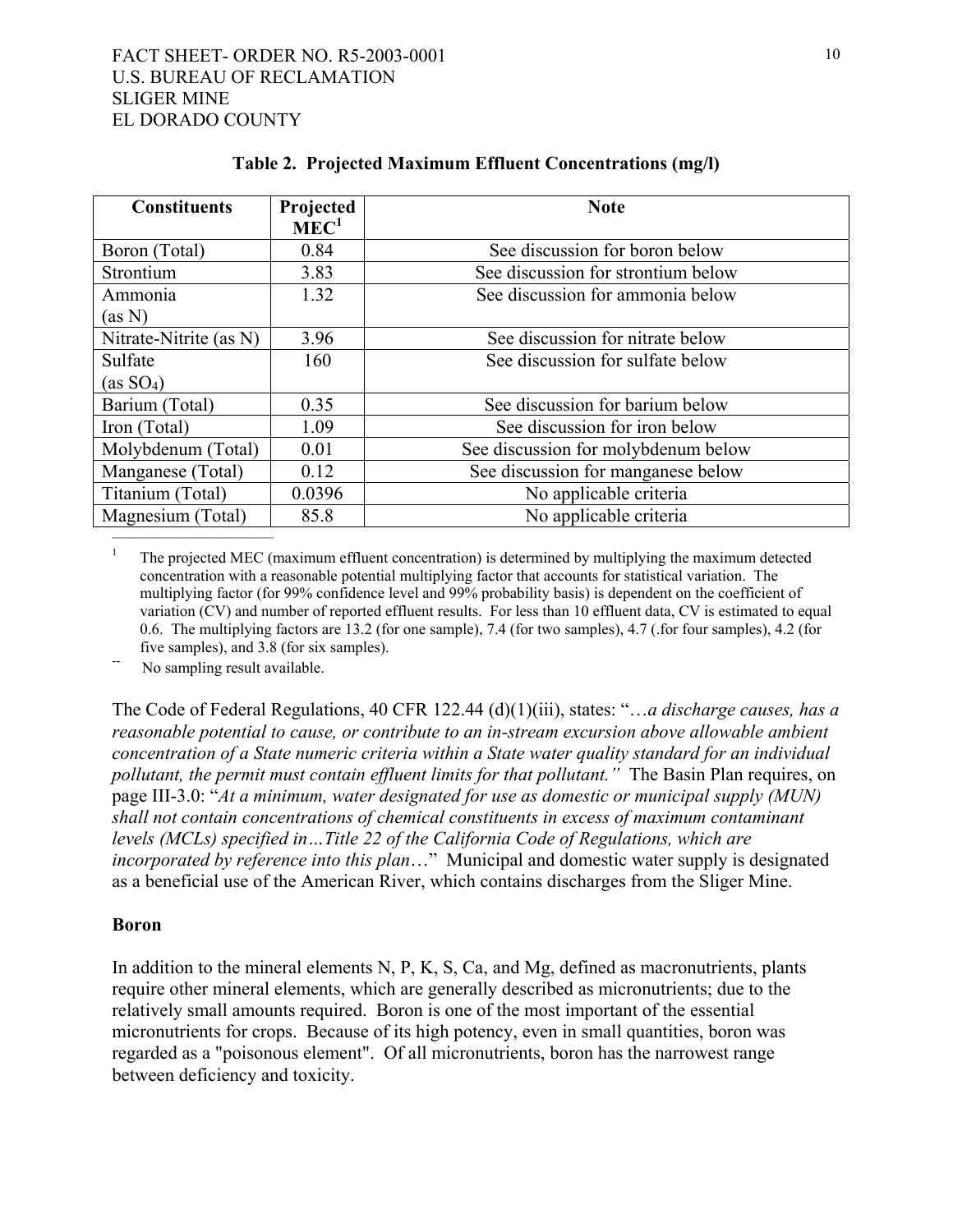| Projected | <b>Note</b>                         |
|-----------|-------------------------------------|
|           |                                     |
|           | See discussion for boron below      |
|           | See discussion for strontium below  |
| 1.32      | See discussion for ammonia below    |
|           |                                     |
| 3.96      | See discussion for nitrate below    |
| 160       | See discussion for sulfate below    |
|           |                                     |
| 0.35      | See discussion for barium below     |
| 1.09      | See discussion for iron below       |
| 0.01      | See discussion for molybdenum below |
| 0.12      | See discussion for manganese below  |
| 0.0396    | No applicable criteria              |
| 85.8      | No applicable criteria              |
|           | MEC <sup>1</sup><br>0.84<br>3.83    |

**Table 2. Projected Maximum Effluent Concentrations (mg/l)** 

<sup>1</sup> The projected MEC (maximum effluent concentration) is determined by multiplying the maximum detected concentration with a reasonable potential multiplying factor that accounts for statistical variation. The multiplying factor (for 99% confidence level and 99% probability basis) is dependent on the coefficient of variation (CV) and number of reported effluent results. For less than 10 effluent data, CV is estimated to equal 0.6. The multiplying factors are 13.2 (for one sample), 7.4 (for two samples), 4.7 (.for four samples), 4.2 (for five samples), and 3.8 (for six samples). No sampling result available.

The Code of Federal Regulations, 40 CFR 122.44 (d)(1)(iii), states: "…*a discharge causes, has a reasonable potential to cause, or contribute to an in-stream excursion above allowable ambient concentration of a State numeric criteria within a State water quality standard for an individual pollutant, the permit must contain effluent limits for that pollutant."* The Basin Plan requires, on page III-3.0: "*At a minimum, water designated for use as domestic or municipal supply (MUN) shall not contain concentrations of chemical constituents in excess of maximum contaminant levels (MCLs) specified in…Title 22 of the California Code of Regulations, which are incorporated by reference into this plan*…" Municipal and domestic water supply is designated as a beneficial use of the American River, which contains discharges from the Sliger Mine.

#### **Boron**

In addition to the mineral elements N, P, K, S, Ca, and Mg, defined as macronutrients, plants require other mineral elements, which are generally described as micronutrients; due to the relatively small amounts required. Boron is one of the most important of the essential micronutrients for crops. Because of its high potency, even in small quantities, boron was regarded as a "poisonous element". Of all micronutrients, boron has the narrowest range between deficiency and toxicity.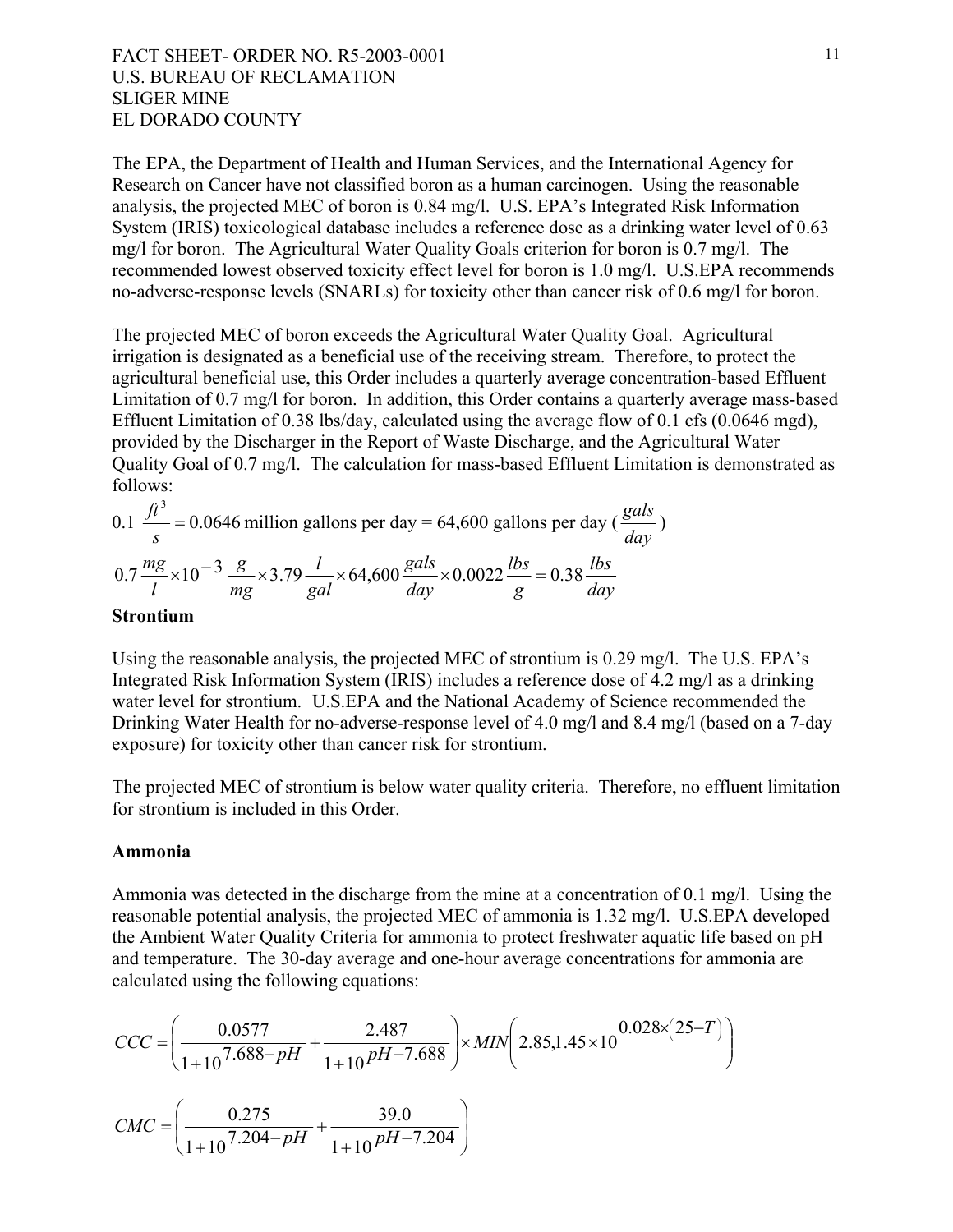The EPA, the Department of Health and Human Services, and the International Agency for Research on Cancer have not classified boron as a human carcinogen. Using the reasonable analysis, the projected MEC of boron is 0.84 mg/l. U.S. EPA's Integrated Risk Information System (IRIS) toxicological database includes a reference dose as a drinking water level of 0.63 mg/l for boron. The Agricultural Water Quality Goals criterion for boron is 0.7 mg/l. The recommended lowest observed toxicity effect level for boron is 1.0 mg/l. U.S.EPA recommends no-adverse-response levels (SNARLs) for toxicity other than cancer risk of 0.6 mg/l for boron.

The projected MEC of boron exceeds the Agricultural Water Quality Goal. Agricultural irrigation is designated as a beneficial use of the receiving stream. Therefore, to protect the agricultural beneficial use, this Order includes a quarterly average concentration-based Effluent Limitation of 0.7 mg/l for boron. In addition, this Order contains a quarterly average mass-based Effluent Limitation of 0.38 lbs/day, calculated using the average flow of 0.1 cfs (0.0646 mgd), provided by the Discharger in the Report of Waste Discharge, and the Agricultural Water Quality Goal of 0.7 mg/l. The calculation for mass-based Effluent Limitation is demonstrated as follows:

0.1 
$$
\frac{ft^3}{s}
$$
 = 0.0646 million gallons per day = 64,600 gallons per day ( $\frac{gals}{day}$ )  
0.7  $\frac{mg}{l} \times 10^{-3} \frac{g}{mg} \times 3.79 \frac{l}{gal} \times 64,600 \frac{gals}{day} \times 0.0022 \frac{lbs}{g} = 0.38 \frac{lbs}{day}$ 

#### **Strontium**

Using the reasonable analysis, the projected MEC of strontium is 0.29 mg/l. The U.S. EPA's Integrated Risk Information System (IRIS) includes a reference dose of 4.2 mg/l as a drinking water level for strontium. U.S.EPA and the National Academy of Science recommended the Drinking Water Health for no-adverse-response level of 4.0 mg/l and 8.4 mg/l (based on a 7-day exposure) for toxicity other than cancer risk for strontium.

The projected MEC of strontium is below water quality criteria. Therefore, no effluent limitation for strontium is included in this Order.

#### **Ammonia**

Ammonia was detected in the discharge from the mine at a concentration of 0.1 mg/l. Using the reasonable potential analysis, the projected MEC of ammonia is 1.32 mg/l. U.S.EPA developed the Ambient Water Quality Criteria for ammonia to protect freshwater aquatic life based on pH and temperature. The 30-day average and one-hour average concentrations for ammonia are calculated using the following equations:

$$
CCC = \left(\frac{0.0577}{1+10^{7.688-pH}} + \frac{2.487}{1+10^{pH-7.688}}\right) \times MIN\left(2.85, 1.45 \times 10^{0.028 \times (25-T)}\right)
$$

$$
CMC = \left(\frac{0.275}{1+10^{7.204-pH}} + \frac{39.0}{1+10^{pH-7.204}}\right)
$$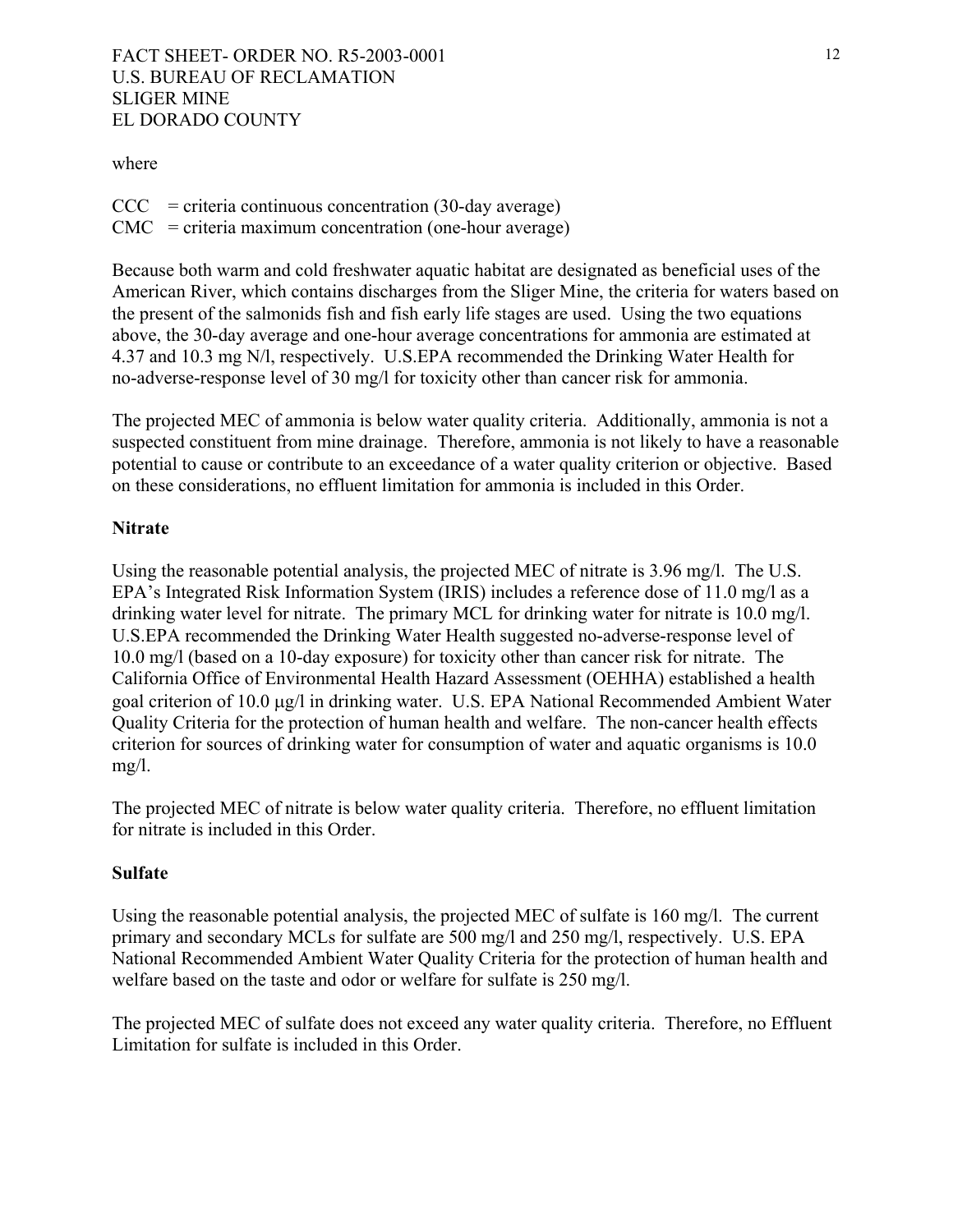#### where

 $CCC = criteria$  continuous concentration (30-day average) CMC = criteria maximum concentration (one-hour average)

Because both warm and cold freshwater aquatic habitat are designated as beneficial uses of the American River, which contains discharges from the Sliger Mine, the criteria for waters based on the present of the salmonids fish and fish early life stages are used. Using the two equations above, the 30-day average and one-hour average concentrations for ammonia are estimated at 4.37 and 10.3 mg N/l, respectively. U.S.EPA recommended the Drinking Water Health for no-adverse-response level of 30 mg/l for toxicity other than cancer risk for ammonia.

The projected MEC of ammonia is below water quality criteria. Additionally, ammonia is not a suspected constituent from mine drainage. Therefore, ammonia is not likely to have a reasonable potential to cause or contribute to an exceedance of a water quality criterion or objective. Based on these considerations, no effluent limitation for ammonia is included in this Order.

#### **Nitrate**

Using the reasonable potential analysis, the projected MEC of nitrate is 3.96 mg/l. The U.S. EPA's Integrated Risk Information System (IRIS) includes a reference dose of 11.0 mg/l as a drinking water level for nitrate. The primary MCL for drinking water for nitrate is 10.0 mg/l. U.S.EPA recommended the Drinking Water Health suggested no-adverse-response level of 10.0 mg/l (based on a 10-day exposure) for toxicity other than cancer risk for nitrate. The California Office of Environmental Health Hazard Assessment (OEHHA) established a health goal criterion of 10.0 µg/l in drinking water. U.S. EPA National Recommended Ambient Water Quality Criteria for the protection of human health and welfare. The non-cancer health effects criterion for sources of drinking water for consumption of water and aquatic organisms is 10.0 mg/l.

The projected MEC of nitrate is below water quality criteria. Therefore, no effluent limitation for nitrate is included in this Order.

#### **Sulfate**

Using the reasonable potential analysis, the projected MEC of sulfate is 160 mg/l. The current primary and secondary MCLs for sulfate are 500 mg/l and 250 mg/l, respectively. U.S. EPA National Recommended Ambient Water Quality Criteria for the protection of human health and welfare based on the taste and odor or welfare for sulfate is 250 mg/l.

The projected MEC of sulfate does not exceed any water quality criteria. Therefore, no Effluent Limitation for sulfate is included in this Order.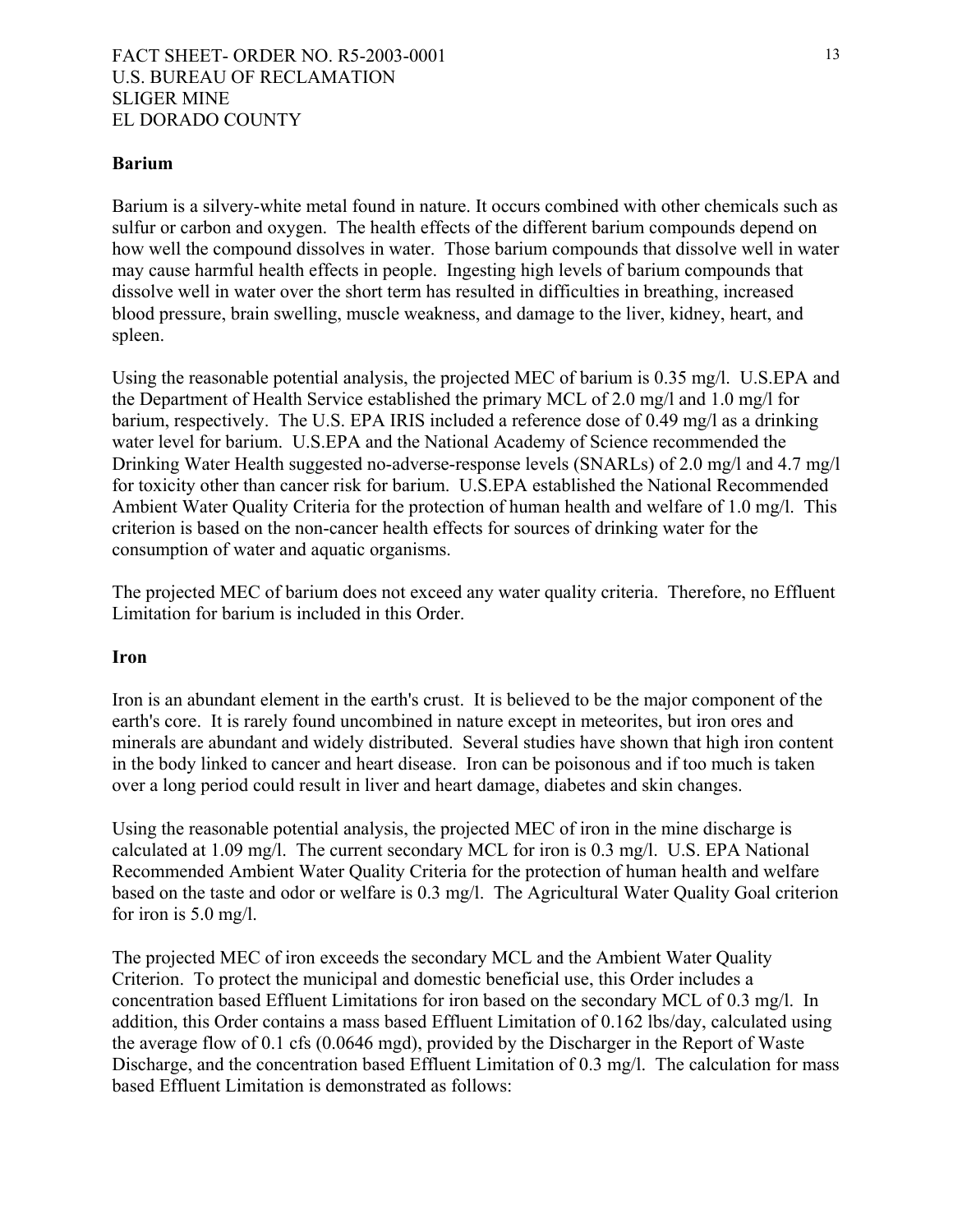### **Barium**

Barium is a silvery-white metal found in nature. It occurs combined with other chemicals such as sulfur or carbon and oxygen. The health effects of the different barium compounds depend on how well the compound dissolves in water. Those barium compounds that dissolve well in water may cause harmful health effects in people. Ingesting high levels of barium compounds that dissolve well in water over the short term has resulted in difficulties in breathing, increased blood pressure, brain swelling, muscle weakness, and damage to the liver, kidney, heart, and spleen.

Using the reasonable potential analysis, the projected MEC of barium is 0.35 mg/l. U.S.EPA and the Department of Health Service established the primary MCL of 2.0 mg/l and 1.0 mg/l for barium, respectively. The U.S. EPA IRIS included a reference dose of 0.49 mg/l as a drinking water level for barium. U.S.EPA and the National Academy of Science recommended the Drinking Water Health suggested no-adverse-response levels (SNARLs) of 2.0 mg/l and 4.7 mg/l for toxicity other than cancer risk for barium. U.S.EPA established the National Recommended Ambient Water Quality Criteria for the protection of human health and welfare of 1.0 mg/l. This criterion is based on the non-cancer health effects for sources of drinking water for the consumption of water and aquatic organisms.

The projected MEC of barium does not exceed any water quality criteria. Therefore, no Effluent Limitation for barium is included in this Order.

#### **Iron**

Iron is an abundant element in the earth's crust. It is believed to be the major component of the earth's core. It is rarely found uncombined in nature except in meteorites, but iron ores and minerals are abundant and widely distributed. Several studies have shown that high iron content in the body linked to cancer and heart disease. Iron can be poisonous and if too much is taken over a long period could result in liver and heart damage, diabetes and skin changes.

Using the reasonable potential analysis, the projected MEC of iron in the mine discharge is calculated at 1.09 mg/l. The current secondary MCL for iron is 0.3 mg/l. U.S. EPA National Recommended Ambient Water Quality Criteria for the protection of human health and welfare based on the taste and odor or welfare is 0.3 mg/l. The Agricultural Water Quality Goal criterion for iron is 5.0 mg/l.

The projected MEC of iron exceeds the secondary MCL and the Ambient Water Quality Criterion. To protect the municipal and domestic beneficial use, this Order includes a concentration based Effluent Limitations for iron based on the secondary MCL of 0.3 mg/l. In addition, this Order contains a mass based Effluent Limitation of 0.162 lbs/day, calculated using the average flow of 0.1 cfs (0.0646 mgd), provided by the Discharger in the Report of Waste Discharge, and the concentration based Effluent Limitation of 0.3 mg/l. The calculation for mass based Effluent Limitation is demonstrated as follows: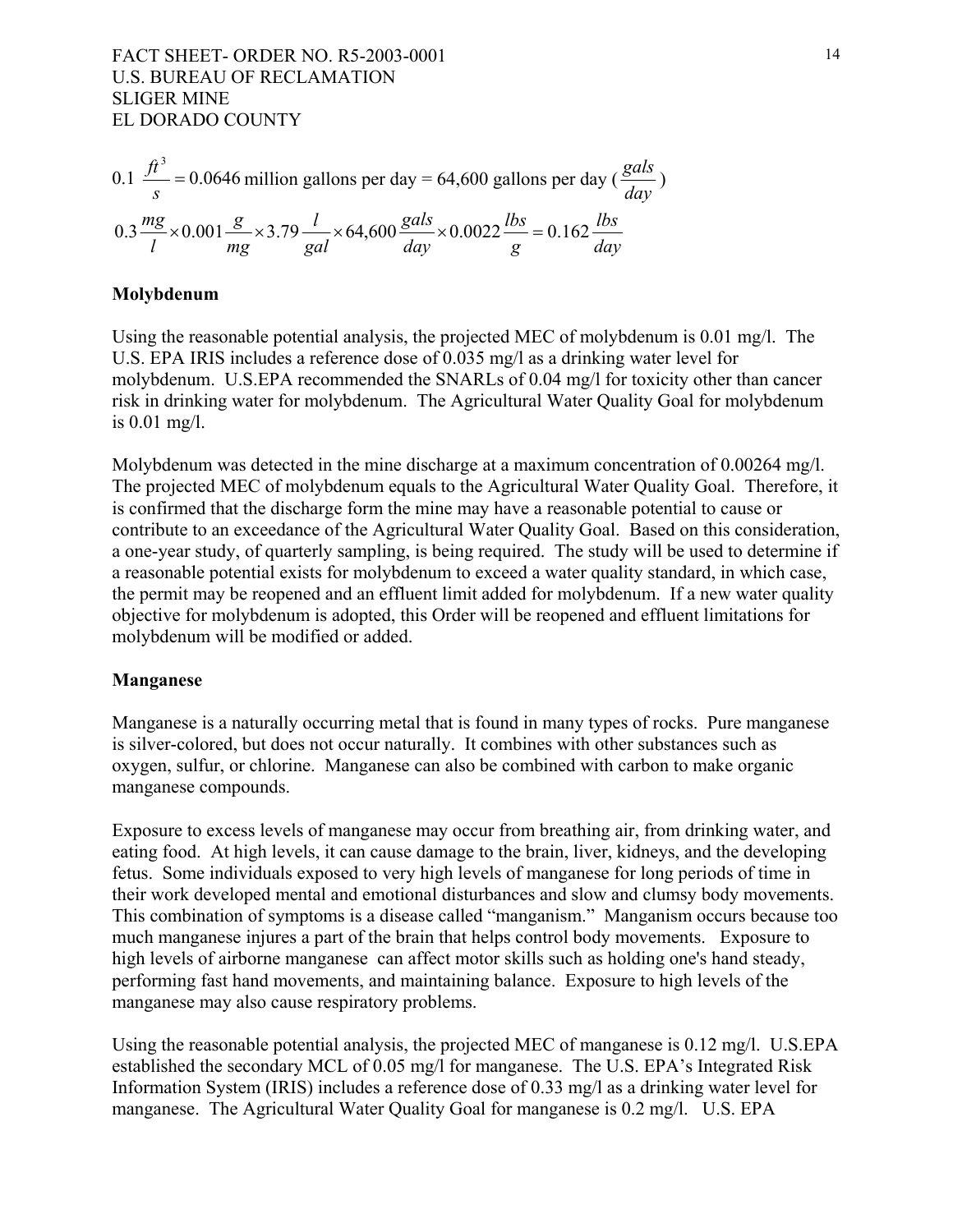0.1 
$$
\frac{ft^3}{s}
$$
 = 0.0646 million gallons per day = 64,600 gallons per day ( $\frac{gals}{day}$ )  
0.3  $\frac{mg}{l} \times 0.001 \frac{g}{mg} \times 3.79 \frac{l}{gal} \times 64,600 \frac{gals}{day} \times 0.0022 \frac{lbs}{g} = 0.162 \frac{lbs}{day}$ 

#### **Molybdenum**

Using the reasonable potential analysis, the projected MEC of molybdenum is 0.01 mg/l. The U.S. EPA IRIS includes a reference dose of 0.035 mg/l as a drinking water level for molybdenum. U.S.EPA recommended the SNARLs of 0.04 mg/l for toxicity other than cancer risk in drinking water for molybdenum. The Agricultural Water Quality Goal for molybdenum is 0.01 mg/l.

Molybdenum was detected in the mine discharge at a maximum concentration of 0.00264 mg/l. The projected MEC of molybdenum equals to the Agricultural Water Quality Goal. Therefore, it is confirmed that the discharge form the mine may have a reasonable potential to cause or contribute to an exceedance of the Agricultural Water Quality Goal. Based on this consideration, a one-year study, of quarterly sampling, is being required. The study will be used to determine if a reasonable potential exists for molybdenum to exceed a water quality standard, in which case, the permit may be reopened and an effluent limit added for molybdenum. If a new water quality objective for molybdenum is adopted, this Order will be reopened and effluent limitations for molybdenum will be modified or added.

#### **Manganese**

Manganese is a naturally occurring metal that is found in many types of rocks. Pure manganese is silver-colored, but does not occur naturally. It combines with other substances such as oxygen, sulfur, or chlorine. Manganese can also be combined with carbon to make organic manganese compounds.

Exposure to excess levels of manganese may occur from breathing air, from drinking water, and eating food. At high levels, it can cause damage to the brain, liver, kidneys, and the developing fetus. Some individuals exposed to very high levels of manganese for long periods of time in their work developed mental and emotional disturbances and slow and clumsy body movements. This combination of symptoms is a disease called "manganism." Manganism occurs because too much manganese injures a part of the brain that helps control body movements. Exposure to high levels of airborne manganese can affect motor skills such as holding one's hand steady, performing fast hand movements, and maintaining balance. Exposure to high levels of the manganese may also cause respiratory problems.

Using the reasonable potential analysis, the projected MEC of manganese is 0.12 mg/l. U.S.EPA established the secondary MCL of 0.05 mg/l for manganese. The U.S. EPA's Integrated Risk Information System (IRIS) includes a reference dose of 0.33 mg/l as a drinking water level for manganese. The Agricultural Water Quality Goal for manganese is 0.2 mg/l. U.S. EPA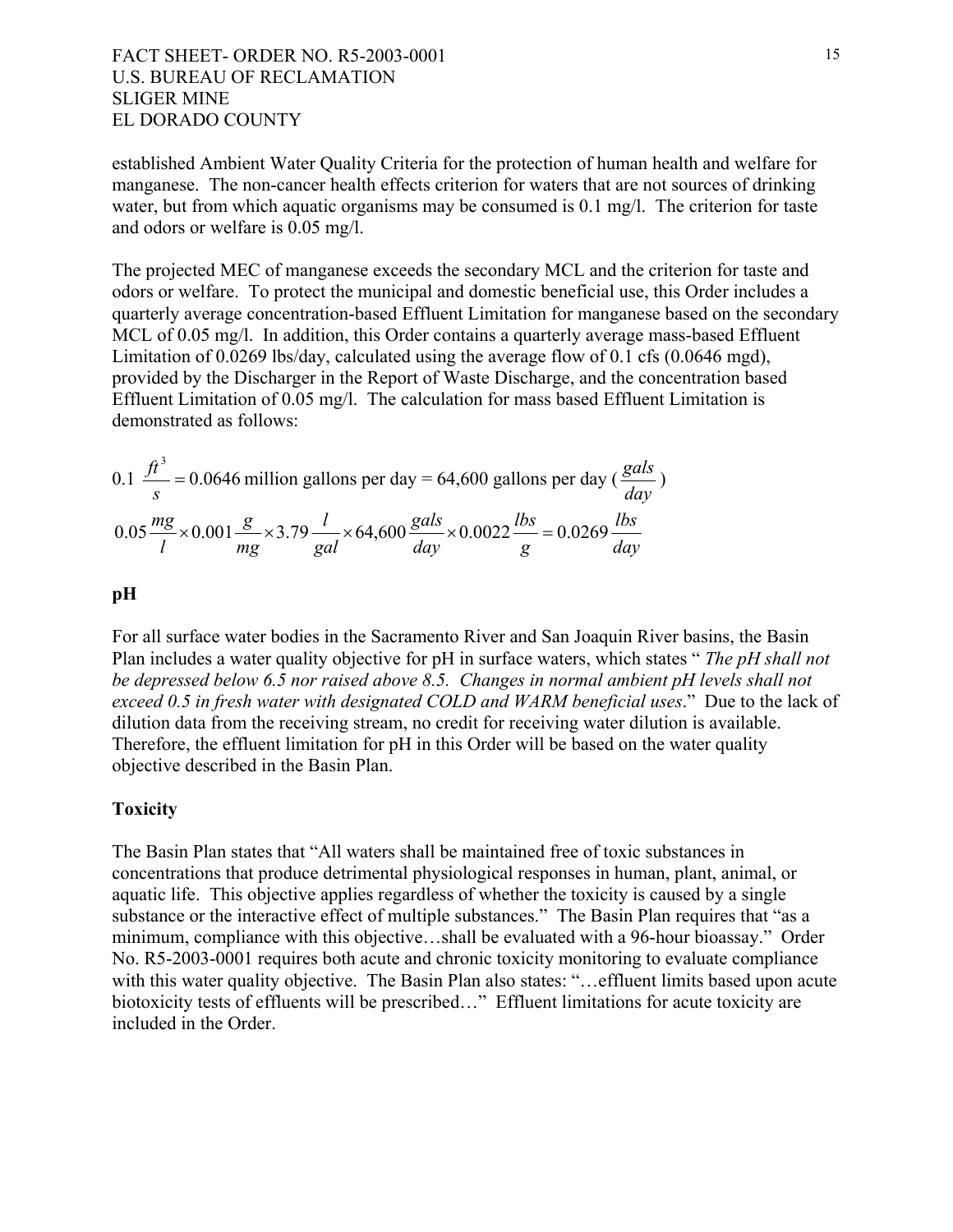established Ambient Water Quality Criteria for the protection of human health and welfare for manganese. The non-cancer health effects criterion for waters that are not sources of drinking water, but from which aquatic organisms may be consumed is 0.1 mg/l. The criterion for taste and odors or welfare is 0.05 mg/l.

The projected MEC of manganese exceeds the secondary MCL and the criterion for taste and odors or welfare. To protect the municipal and domestic beneficial use, this Order includes a quarterly average concentration-based Effluent Limitation for manganese based on the secondary MCL of 0.05 mg/l. In addition, this Order contains a quarterly average mass-based Effluent Limitation of 0.0269 lbs/day, calculated using the average flow of 0.1 cfs (0.0646 mgd), provided by the Discharger in the Report of Waste Discharge, and the concentration based Effluent Limitation of 0.05 mg/l. The calculation for mass based Effluent Limitation is demonstrated as follows:

0.1 
$$
\frac{ft^3}{s}
$$
 = 0.0646 million gallons per day = 64,600 gallons per day ( $\frac{gals}{day}$ )  
0.05  $\frac{mg}{l} \times 0.001 \frac{g}{mg} \times 3.79 \frac{l}{gal} \times 64,600 \frac{gals}{day} \times 0.0022 \frac{lbs}{g} = 0.0269 \frac{lbs}{day}$ 

#### **pH**

For all surface water bodies in the Sacramento River and San Joaquin River basins, the Basin Plan includes a water quality objective for pH in surface waters, which states " *The pH shall not be depressed below 6.5 nor raised above 8.5. Changes in normal ambient pH levels shall not exceed 0.5 in fresh water with designated COLD and WARM beneficial uses*." Due to the lack of dilution data from the receiving stream, no credit for receiving water dilution is available. Therefore, the effluent limitation for pH in this Order will be based on the water quality objective described in the Basin Plan.

#### **Toxicity**

The Basin Plan states that "All waters shall be maintained free of toxic substances in concentrations that produce detrimental physiological responses in human, plant, animal, or aquatic life. This objective applies regardless of whether the toxicity is caused by a single substance or the interactive effect of multiple substances." The Basin Plan requires that "as a minimum, compliance with this objective…shall be evaluated with a 96-hour bioassay." Order No. R5-2003-0001 requires both acute and chronic toxicity monitoring to evaluate compliance with this water quality objective. The Basin Plan also states: "... effluent limits based upon acute biotoxicity tests of effluents will be prescribed..." Effluent limitations for acute toxicity are included in the Order.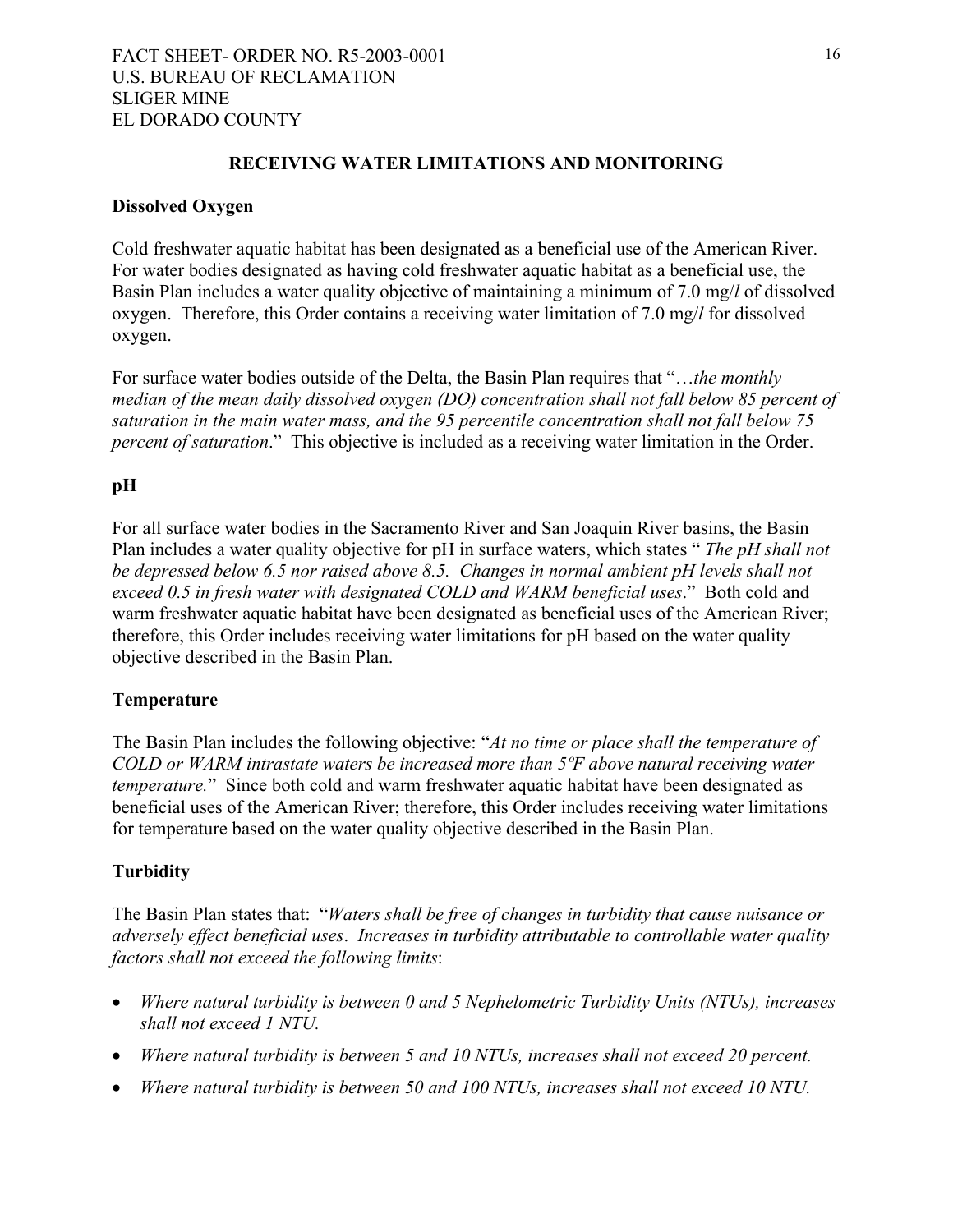### **RECEIVING WATER LIMITATIONS AND MONITORING**

#### **Dissolved Oxygen**

Cold freshwater aquatic habitat has been designated as a beneficial use of the American River. For water bodies designated as having cold freshwater aquatic habitat as a beneficial use, the Basin Plan includes a water quality objective of maintaining a minimum of 7.0 mg/*l* of dissolved oxygen. Therefore, this Order contains a receiving water limitation of 7.0 mg/*l* for dissolved oxygen.

For surface water bodies outside of the Delta, the Basin Plan requires that "…*the monthly median of the mean daily dissolved oxygen (DO) concentration shall not fall below 85 percent of saturation in the main water mass, and the 95 percentile concentration shall not fall below 75 percent of saturation*." This objective is included as a receiving water limitation in the Order.

### **pH**

For all surface water bodies in the Sacramento River and San Joaquin River basins, the Basin Plan includes a water quality objective for pH in surface waters, which states " *The pH shall not be depressed below 6.5 nor raised above 8.5. Changes in normal ambient pH levels shall not exceed 0.5 in fresh water with designated COLD and WARM beneficial uses*." Both cold and warm freshwater aquatic habitat have been designated as beneficial uses of the American River; therefore, this Order includes receiving water limitations for pH based on the water quality objective described in the Basin Plan.

#### **Temperature**

The Basin Plan includes the following objective: "*At no time or place shall the temperature of COLD or WARM intrastate waters be increased more than 5ºF above natural receiving water temperature.*" Since both cold and warm freshwater aquatic habitat have been designated as beneficial uses of the American River; therefore, this Order includes receiving water limitations for temperature based on the water quality objective described in the Basin Plan.

### **Turbidity**

The Basin Plan states that: "*Waters shall be free of changes in turbidity that cause nuisance or adversely effect beneficial uses*. *Increases in turbidity attributable to controllable water quality factors shall not exceed the following limits*:

- *Where natural turbidity is between 0 and 5 Nephelometric Turbidity Units (NTUs), increases shall not exceed 1 NTU.*
- *Where natural turbidity is between 5 and 10 NTUs, increases shall not exceed 20 percent.*
- *Where natural turbidity is between 50 and 100 NTUs, increases shall not exceed 10 NTU.*